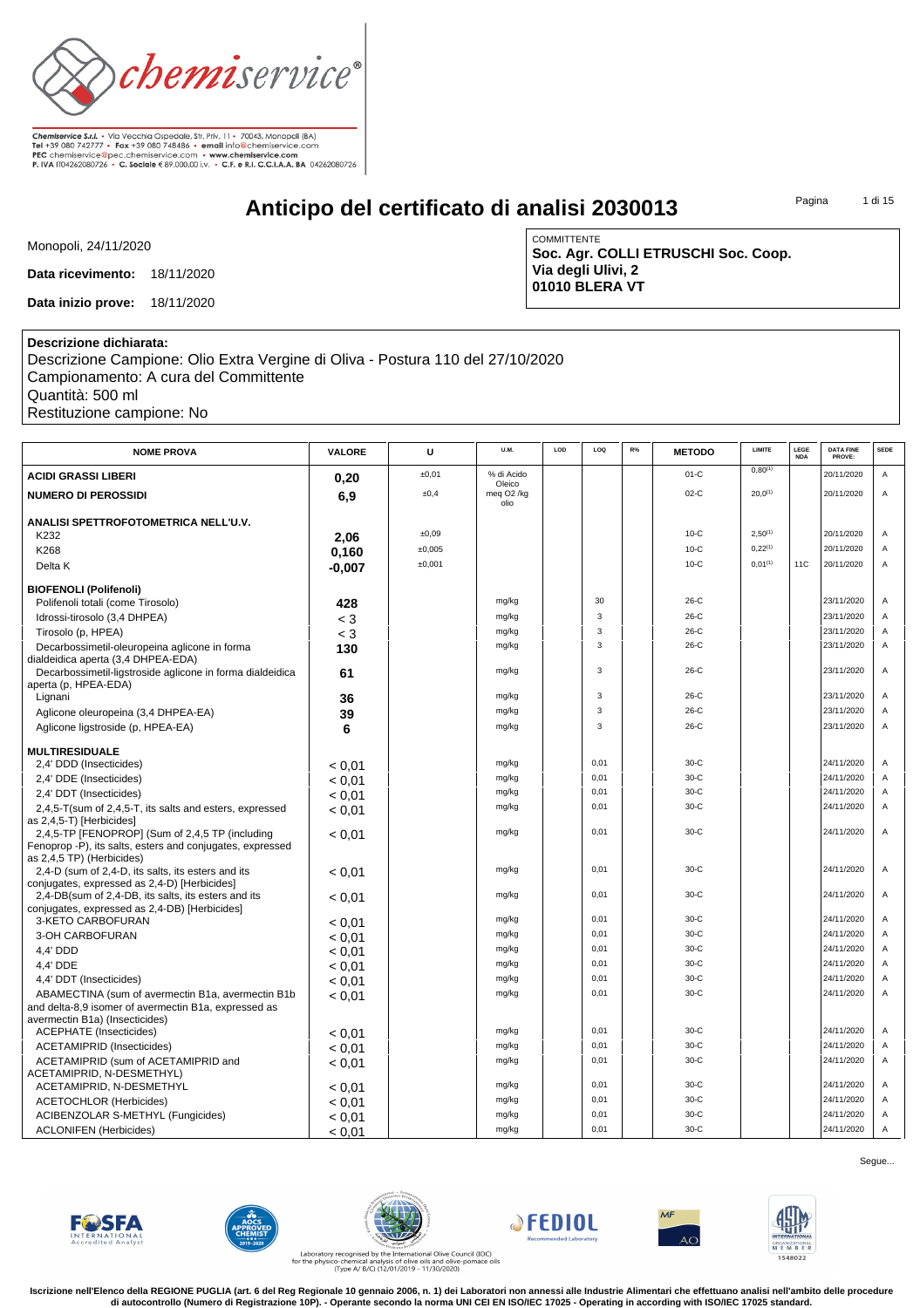

# **Anticipo del certificato di analisi 2030013**

COMMITTENTE

**Via degli Ulivi, 2 01010 BLERA VT**

**Soc. Agr. COLLI ETRUSCHI Soc. Coop.**

Pagina 1 di 15

Monopoli, 24/11/2020

**Data ricevimento:** 18/11/2020

**Data inizio prove:** 18/11/2020

#### **Descrizione dichiarata:**

Descrizione Campione: Olio Extra Vergine di Oliva - Postura 110 del 27/10/2020 Campionamento: A cura del Committente Quantità: 500 ml Restituzione campione: No

| <b>NOME PROVA</b>                                                                                    | VALORE   | U      | U.M.                                     | LOD | LOQ  | R% | <b>METODO</b> | LIMITE       | LEGE<br><b>NDA</b> | <b>DATA FINE</b><br>PROVE: | <b>SEDE</b> |
|------------------------------------------------------------------------------------------------------|----------|--------|------------------------------------------|-----|------|----|---------------|--------------|--------------------|----------------------------|-------------|
| <b>ACIDI GRASSI LIBERI</b>                                                                           | 0,20     | ±0,01  | % di Acido                               |     |      |    | $01-C$        | $0,80^{(1)}$ |                    | 20/11/2020                 | A           |
| <b>NUMERO DI PEROSSIDI</b>                                                                           | 6,9      | ±0,4   | Oleico<br>meg O <sub>2</sub> /kg<br>olio |     |      |    | $02-C$        | $20,0^{(1)}$ |                    | 20/11/2020                 | Α           |
| ANALISI SPETTROFOTOMETRICA NELL'U.V.                                                                 |          |        |                                          |     |      |    |               |              |                    |                            |             |
| K232                                                                                                 | 2,06     | ±0,09  |                                          |     |      |    | $10-C$        | $2,50^{(1)}$ |                    | 20/11/2020                 | Α           |
| K268                                                                                                 | 0,160    | ±0,005 |                                          |     |      |    | $10-C$        | 0.22(1)      |                    | 20/11/2020                 | Α           |
| Delta K                                                                                              | $-0.007$ | ±0,001 |                                          |     |      |    | $10-C$        | $0.01^{(1)}$ | <b>11C</b>         | 20/11/2020                 | A           |
| <b>BIOFENOLI (Polifenoli)</b>                                                                        |          |        |                                          |     |      |    |               |              |                    |                            |             |
| Polifenoli totali (come Tirosolo)                                                                    | 428      |        | mg/kg                                    |     | 30   |    | 26-C          |              |                    | 23/11/2020                 | Α           |
| Idrossi-tirosolo (3,4 DHPEA)                                                                         | $<$ 3    |        | mg/kg                                    |     | 3    |    | 26-C          |              |                    | 23/11/2020                 | Α           |
| Tirosolo (p, HPEA)                                                                                   | $<$ 3    |        | mg/kg                                    |     | 3    |    | $26-C$        |              |                    | 23/11/2020                 | Α           |
| Decarbossimetil-oleuropeina aglicone in forma<br>dialdeidica aperta (3,4 DHPEA-EDA)                  | 130      |        | mg/kg                                    |     | 3    |    | $26-C$        |              |                    | 23/11/2020                 | Α           |
| Decarbossimetil-ligstroside aglicone in forma dialdeidica<br>aperta (p, HPEA-EDA)                    | 61       |        | mg/kg                                    |     | 3    |    | $26-C$        |              |                    | 23/11/2020                 | Α           |
| Lignani                                                                                              | 36       |        | mg/kg                                    |     | 3    |    | $26-C$        |              |                    | 23/11/2020                 | Α           |
| Aglicone oleuropeina (3,4 DHPEA-EA)                                                                  | 39       |        | mg/kg                                    |     | 3    |    | $26-C$        |              |                    | 23/11/2020                 | Α           |
| Aglicone ligstroside (p, HPEA-EA)                                                                    | 6        |        | mg/kg                                    |     | 3    |    | 26-C          |              |                    | 23/11/2020                 | Α           |
| <b>MULTIRESIDUALE</b>                                                                                |          |        |                                          |     |      |    |               |              |                    |                            |             |
| 2,4' DDD (Insecticides)                                                                              | < 0.01   |        | mg/kg                                    |     | 0,01 |    | $30-C$        |              |                    | 24/11/2020                 | Α           |
| 2,4' DDE (Insecticides)                                                                              | < 0.01   |        | mg/kg                                    |     | 0,01 |    | $30-C$        |              |                    | 24/11/2020                 | Α           |
| 2,4' DDT (Insecticides)                                                                              | < 0.01   |        | mg/kg                                    |     | 0,01 |    | 30-C          |              |                    | 24/11/2020                 | Α           |
| 2,4,5-T(sum of 2,4,5-T, its salts and esters, expressed                                              | < 0.01   |        | mg/kg                                    |     | 0,01 |    | 30-C          |              |                    | 24/11/2020                 | Α           |
| as 2,4,5-T) [Herbicides]                                                                             |          |        |                                          |     |      |    |               |              |                    |                            |             |
| 2,4,5-TP [FENOPROP] (Sum of 2,4,5 TP (including                                                      | < 0.01   |        | mg/kg                                    |     | 0,01 |    | $30-C$        |              |                    | 24/11/2020                 | A           |
| Fenoprop -P), its salts, esters and conjugates, expressed<br>as 2,4,5 TP) (Herbicides)               |          |        |                                          |     |      |    |               |              |                    |                            |             |
| 2,4-D (sum of 2,4-D, its salts, its esters and its<br>conjugates, expressed as 2,4-D) [Herbicides]   | < 0.01   |        | mg/kg                                    |     | 0,01 |    | $30-C$        |              |                    | 24/11/2020                 | Α           |
| 2,4-DB(sum of 2,4-DB, its salts, its esters and its<br>conjugates, expressed as 2,4-DB) [Herbicides] | < 0.01   |        | mg/kg                                    |     | 0,01 |    | $30-C$        |              |                    | 24/11/2020                 | Α           |
| 3-KETO CARBOFURAN                                                                                    | < 0.01   |        | mg/kg                                    |     | 0,01 |    | $30-C$        |              |                    | 24/11/2020                 | Α           |
| 3-OH CARBOFURAN                                                                                      | < 0.01   |        | mg/kg                                    |     | 0,01 |    | $30-C$        |              |                    | 24/11/2020                 | Α           |
| 4,4' DDD                                                                                             | < 0.01   |        | mg/kg                                    |     | 0,01 |    | $30-C$        |              |                    | 24/11/2020                 | Α           |
| 4,4' DDE                                                                                             | < 0.01   |        | mg/kg                                    |     | 0,01 |    | 30-C          |              |                    | 24/11/2020                 | Α           |
| 4,4' DDT (Insecticides)                                                                              | < 0.01   |        | mg/kg                                    |     | 0.01 |    | $30-C$        |              |                    | 24/11/2020                 | Α           |
| ABAMECTINA (sum of avermectin B1a, avermectin B1b                                                    | < 0.01   |        | mg/kg                                    |     | 0.01 |    | $30-C$        |              |                    | 24/11/2020                 | A           |
| and delta-8,9 isomer of avermectin B1a, expressed as                                                 |          |        |                                          |     |      |    |               |              |                    |                            |             |
| avermectin B1a) (Insecticides)                                                                       |          |        |                                          |     |      |    |               |              |                    |                            |             |
| <b>ACEPHATE</b> (Insecticides)                                                                       | < 0.01   |        | mg/kg                                    |     | 0,01 |    | $30-C$        |              |                    | 24/11/2020                 | Α           |
| <b>ACETAMIPRID (Insecticides)</b>                                                                    | < 0.01   |        | mg/kg                                    |     | 0,01 |    | 30-C          |              |                    | 24/11/2020                 | Α           |
| ACETAMIPRID (sum of ACETAMIPRID and<br>ACETAMIPRID, N-DESMETHYL)                                     | < 0.01   |        | mg/kg                                    |     | 0,01 |    | $30-C$        |              |                    | 24/11/2020                 | Α           |
| ACETAMIPRID, N-DESMETHYL                                                                             | < 0.01   |        | mg/kg                                    |     | 0,01 |    | 30-C          |              |                    | 24/11/2020                 | Α           |
| <b>ACETOCHLOR (Herbicides)</b>                                                                       | < 0.01   |        | mg/kg                                    |     | 0,01 |    | $30-C$        |              |                    | 24/11/2020                 | Α           |
| ACIBENZOLAR S-METHYL (Fungicides)                                                                    | < 0.01   |        | mg/kg                                    |     | 0,01 |    | $30-C$        |              |                    | 24/11/2020                 | Α           |
| <b>ACLONIFEN (Herbicides)</b>                                                                        | < 0.01   |        | mg/kg                                    |     | 0,01 |    | $30-C$        |              |                    | 24/11/2020                 | A           |
|                                                                                                      |          |        |                                          |     |      |    |               |              |                    |                            |             |















Laboratory recognised by the International Olive Council (IOC)<br>for the physico-chemical analysis of olive oils and olive-pomace oils<br>(Type A/ B/C) (12/01/2019 - 11/30/2020)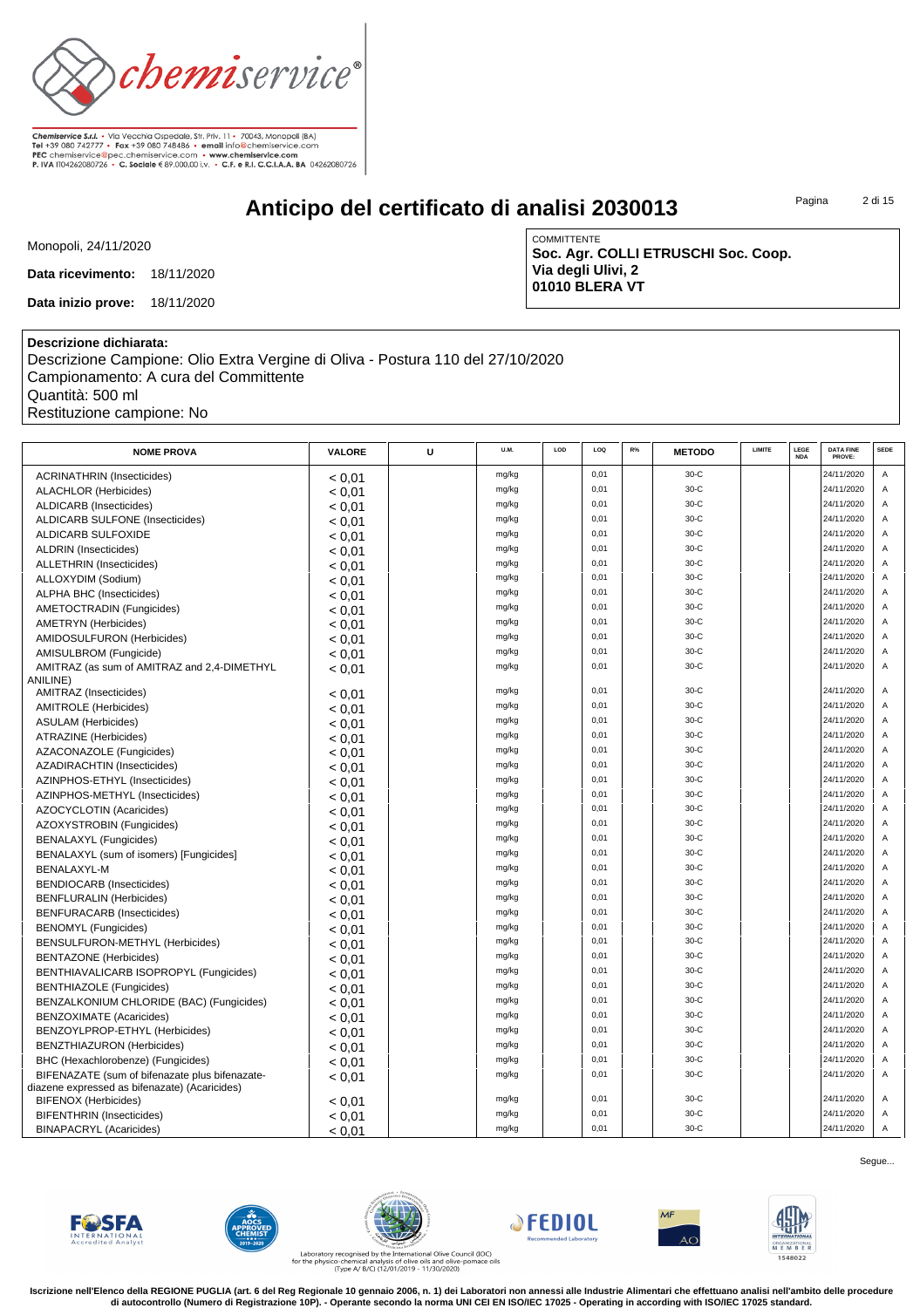

# **Anticipo del certificato di analisi 2030013**

Pagina 2 di 15

Monopoli, 24/11/2020

**Data ricevimento:** 18/11/2020

**Data inizio prove:** 18/11/2020

COMMITTENTE **Soc. Agr. COLLI ETRUSCHI Soc. Coop. Via degli Ulivi, 2 01010 BLERA VT**

### **Descrizione dichiarata:**

Descrizione Campione: Olio Extra Vergine di Oliva - Postura 110 del 27/10/2020 Campionamento: A cura del Committente Quantità: 500 ml Restituzione campione: No

| <b>NOME PROVA</b>                              | VALORE | U | U.M.  | LOD | LOQ  | $R\%$ | <b>METODO</b> | LIMITE | LEGE<br><b>NDA</b> | <b>DATA FINE</b><br>PROVE: | <b>SEDE</b>    |
|------------------------------------------------|--------|---|-------|-----|------|-------|---------------|--------|--------------------|----------------------------|----------------|
| <b>ACRINATHRIN (Insecticides)</b>              | < 0.01 |   | mg/kg |     | 0,01 |       | $30-C$        |        |                    | 24/11/2020                 | Α              |
| <b>ALACHLOR (Herbicides)</b>                   | < 0.01 |   | mg/kg |     | 0,01 |       | $30-C$        |        |                    | 24/11/2020                 | Α              |
| ALDICARB (Insecticides)                        | < 0.01 |   | mg/kg |     | 0,01 |       | 30-C          |        |                    | 24/11/2020                 | Α              |
| <b>ALDICARB SULFONE (Insecticides)</b>         | < 0.01 |   | mg/kg |     | 0,01 |       | $30-C$        |        |                    | 24/11/2020                 | A              |
| ALDICARB SULFOXIDE                             | < 0.01 |   | mg/kg |     | 0.01 |       | $30-C$        |        |                    | 24/11/2020                 | A              |
| ALDRIN (Insecticides)                          | < 0.01 |   | mg/kg |     | 0,01 |       | $30 - C$      |        |                    | 24/11/2020                 | Α              |
| <b>ALLETHRIN</b> (Insecticides)                | < 0.01 |   | mg/kg |     | 0,01 |       | 30-C          |        |                    | 24/11/2020                 | Α              |
| ALLOXYDIM (Sodium)                             | < 0.01 |   | mg/kg |     | 0,01 |       | 30-C          |        |                    | 24/11/2020                 | Α              |
| ALPHA BHC (Insecticides)                       | < 0.01 |   | mg/kg |     | 0,01 |       | $30-C$        |        |                    | 24/11/2020                 | A              |
| AMETOCTRADIN (Fungicides)                      | < 0.01 |   | mg/kg |     | 0,01 |       | 30-C          |        |                    | 24/11/2020                 | Α              |
| <b>AMETRYN</b> (Herbicides)                    | < 0.01 |   | mg/kg |     | 0,01 |       | $30-C$        |        |                    | 24/11/2020                 | A              |
| AMIDOSULFURON (Herbicides)                     | < 0.01 |   | mg/kg |     | 0,01 |       | 30-C          |        |                    | 24/11/2020                 | Α              |
| AMISULBROM (Fungicide)                         | < 0.01 |   | mg/kg |     | 0,01 |       | 30-C          |        |                    | 24/11/2020                 | Α              |
| AMITRAZ (as sum of AMITRAZ and 2,4-DIMETHYL    | < 0.01 |   | mg/kg |     | 0,01 |       | 30-C          |        |                    | 24/11/2020                 | Α              |
| ANILINE)                                       |        |   |       |     |      |       |               |        |                    |                            |                |
| AMITRAZ (Insecticides)                         | < 0.01 |   | mg/kg |     | 0,01 |       | $30-C$        |        |                    | 24/11/2020                 | Α              |
| <b>AMITROLE</b> (Herbicides)                   | < 0.01 |   | mg/kg |     | 0,01 |       | 30-C          |        |                    | 24/11/2020                 | A              |
| <b>ASULAM</b> (Herbicides)                     | < 0.01 |   | mg/kg |     | 0,01 |       | 30-C          |        |                    | 24/11/2020                 | Α              |
| ATRAZINE (Herbicides)                          | < 0.01 |   | mg/kg |     | 0,01 |       | 30-C          |        |                    | 24/11/2020                 | A              |
| AZACONAZOLE (Fungicides)                       | < 0.01 |   | mg/kg |     | 0,01 |       | $30 - C$      |        |                    | 24/11/2020                 | Α              |
| AZADIRACHTIN (Insecticides)                    | < 0.01 |   | mg/kg |     | 0,01 |       | 30-C          |        |                    | 24/11/2020                 | Α              |
| AZINPHOS-ETHYL (Insecticides)                  | < 0.01 |   | mg/kg |     | 0,01 |       | 30-C          |        |                    | 24/11/2020                 | Α              |
| AZINPHOS-METHYL (Insecticides)                 | < 0.01 |   | mg/kg |     | 0,01 |       | 30-C          |        |                    | 24/11/2020                 | Α              |
| AZOCYCLOTIN (Acaricides)                       | < 0.01 |   | mg/kg |     | 0,01 |       | 30-C          |        |                    | 24/11/2020                 | A              |
| AZOXYSTROBIN (Fungicides)                      | < 0.01 |   | mg/kg |     | 0,01 |       | 30-C          |        |                    | 24/11/2020                 | Α              |
| <b>BENALAXYL (Fungicides)</b>                  | < 0.01 |   | mg/kg |     | 0,01 |       | 30-C          |        |                    | 24/11/2020                 | Α              |
| BENALAXYL (sum of isomers) [Fungicides]        | < 0.01 |   | mg/kg |     | 0,01 |       | $30 - C$      |        |                    | 24/11/2020                 | Α              |
| BENALAXYL-M                                    | < 0.01 |   | mg/kg |     | 0,01 |       | 30-C          |        |                    | 24/11/2020                 | Α              |
| <b>BENDIOCARB</b> (Insecticides)               | < 0.01 |   | mg/kg |     | 0,01 |       | 30-C          |        |                    | 24/11/2020                 | Α              |
| <b>BENFLURALIN (Herbicides)</b>                | < 0.01 |   | mg/kg |     | 0,01 |       | 30-C          |        |                    | 24/11/2020                 | Α              |
| <b>BENFURACARB</b> (Insecticides)              | < 0.01 |   | mg/kg |     | 0,01 |       | 30-C          |        |                    | 24/11/2020                 | A              |
| <b>BENOMYL</b> (Fungicides)                    | < 0.01 |   | mg/kg |     | 0,01 |       | 30-C          |        |                    | 24/11/2020                 | Α              |
| BENSULFURON-METHYL (Herbicides)                | < 0.01 |   | mg/kg |     | 0,01 |       | 30-C          |        |                    | 24/11/2020                 | Α              |
| <b>BENTAZONE</b> (Herbicides)                  | < 0.01 |   | mg/kg |     | 0,01 |       | 30-C          |        |                    | 24/11/2020                 | Α              |
| BENTHIAVALICARB ISOPROPYL (Fungicides)         | < 0.01 |   | mg/kg |     | 0,01 |       | 30-C          |        |                    | 24/11/2020                 | Α              |
| <b>BENTHIAZOLE</b> (Fungicides)                | < 0.01 |   | mg/kg |     | 0,01 |       | 30-C          |        |                    | 24/11/2020                 | Α              |
| BENZALKONIUM CHLORIDE (BAC) (Fungicides)       | < 0.01 |   | mg/kg |     | 0,01 |       | 30-C          |        |                    | 24/11/2020                 | Α              |
| <b>BENZOXIMATE</b> (Acaricides)                | < 0.01 |   | mg/kg |     | 0,01 |       | 30-C          |        |                    | 24/11/2020                 | A              |
| BENZOYLPROP-ETHYL (Herbicides)                 | < 0.01 |   | mg/kg |     | 0,01 |       | $30-C$        |        |                    | 24/11/2020                 | Α              |
| BENZTHIAZURON (Herbicides)                     | < 0.01 |   | mg/kg |     | 0,01 |       | $30-C$        |        |                    | 24/11/2020                 | Α              |
| BHC (Hexachlorobenze) (Fungicides)             | < 0.01 |   | mg/kg |     | 0,01 |       | 30-C          |        |                    | 24/11/2020                 | Α              |
| BIFENAZATE (sum of bifenazate plus bifenazate- | < 0.01 |   | mg/kg |     | 0,01 |       | 30-C          |        |                    | 24/11/2020                 | A              |
| diazene expressed as bifenazate) (Acaricides)  |        |   |       |     |      |       |               |        |                    |                            |                |
| <b>BIFENOX (Herbicides)</b>                    | < 0.01 |   | mg/kg |     | 0,01 |       | 30-C          |        |                    | 24/11/2020                 | Α              |
| <b>BIFENTHRIN</b> (Insecticides)               | < 0.01 |   | mg/kg |     | 0,01 |       | 30-C          |        |                    | 24/11/2020                 | Α              |
| <b>BINAPACRYL (Acaricides)</b>                 | < 0.01 |   | mg/kg |     | 0.01 |       | $30-C$        |        |                    | 24/11/2020                 | $\overline{A}$ |

Segue...













Laboratory recognised by the International Olive Council (IOC)<br>for the physico-chemical analysis of olive oils and olive-pomace oils<br>(Type A/ B/C) (12/01/2019 - 11/30/2020)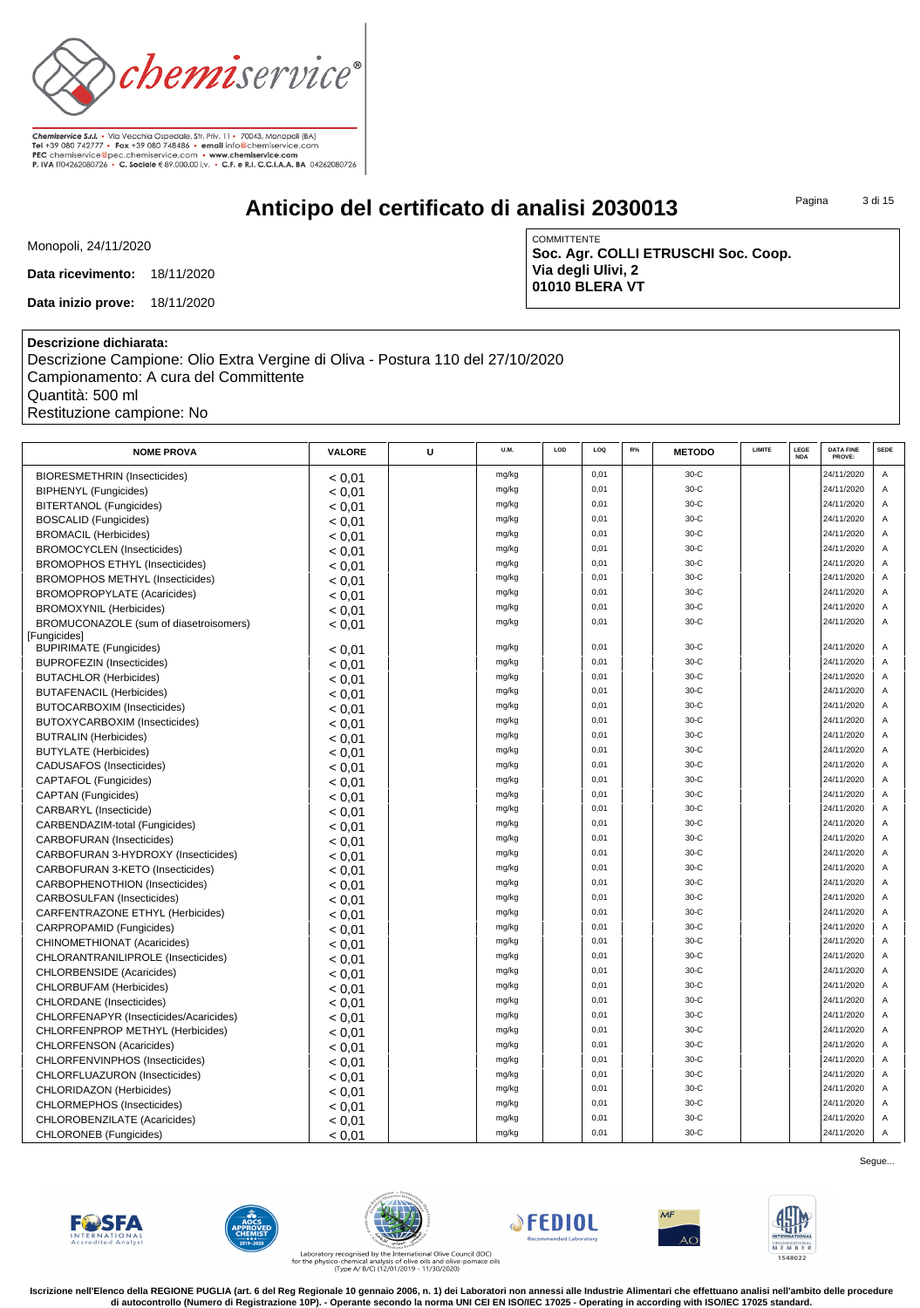

# **Anticipo del certificato di analisi 2030013**

Pagina 3 di 15

Monopoli, 24/11/2020

**Data ricevimento:** 18/11/2020

**Data inizio prove:** 18/11/2020

COMMITTENTE **Soc. Agr. COLLI ETRUSCHI Soc. Coop. Via degli Ulivi, 2 01010 BLERA VT**

### **Descrizione dichiarata:**

Descrizione Campione: Olio Extra Vergine di Oliva - Postura 110 del 27/10/2020 Campionamento: A cura del Committente Quantità: 500 ml Restituzione campione: No

| <b>NOME PROVA</b>                      | VALORE | U | U.M.  | LOD | LOQ  | R% | <b>METODO</b> | LIMITE | LEGE<br><b>NDA</b> | <b>DATA FINE</b><br>PROVE: | <b>SEDE</b>    |
|----------------------------------------|--------|---|-------|-----|------|----|---------------|--------|--------------------|----------------------------|----------------|
| <b>BIORESMETHRIN (Insecticides)</b>    | < 0.01 |   | mg/kg |     | 0.01 |    | $30-C$        |        |                    | 24/11/2020                 | A              |
| <b>BIPHENYL</b> (Fungicides)           | < 0.01 |   | mg/kg |     | 0,01 |    | 30-C          |        |                    | 24/11/2020                 | Α              |
| BITERTANOL (Fungicides)                | < 0.01 |   | mg/kg |     | 0,01 |    | 30-C          |        |                    | 24/11/2020                 | Α              |
| <b>BOSCALID (Fungicides)</b>           | < 0.01 |   | mg/kg |     | 0,01 |    | 30-C          |        |                    | 24/11/2020                 | $\overline{A}$ |
| <b>BROMACIL (Herbicides)</b>           | < 0.01 |   | mg/kg |     | 0,01 |    | 30-C          |        |                    | 24/11/2020                 | A              |
| <b>BROMOCYCLEN</b> (Insecticides)      | < 0.01 |   | mg/kg |     | 0,01 |    | 30-C          |        |                    | 24/11/2020                 | Α              |
| <b>BROMOPHOS ETHYL (Insecticides)</b>  | < 0.01 |   | mg/kg |     | 0,01 |    | 30-C          |        |                    | 24/11/2020                 | A              |
| <b>BROMOPHOS METHYL (Insecticides)</b> | < 0.01 |   | mg/kg |     | 0,01 |    | $30-C$        |        |                    | 24/11/2020                 | A              |
| <b>BROMOPROPYLATE (Acaricides)</b>     | < 0.01 |   | mg/kg |     | 0,01 |    | 30-C          |        |                    | 24/11/2020                 | Α              |
| <b>BROMOXYNIL (Herbicides)</b>         | < 0.01 |   | mg/kg |     | 0.01 |    | $30-C$        |        |                    | 24/11/2020                 | Α              |
| BROMUCONAZOLE (sum of diasetroisomers) | < 0.01 |   | mg/kg |     | 0,01 |    | $30-C$        |        |                    | 24/11/2020                 | $\mathsf A$    |
| [Fungicides]                           |        |   |       |     |      |    |               |        |                    |                            |                |
| <b>BUPIRIMATE (Fungicides)</b>         | < 0.01 |   | mg/kg |     | 0.01 |    | $30-C$        |        |                    | 24/11/2020                 | Α              |
| <b>BUPROFEZIN (Insecticides)</b>       | < 0.01 |   | mg/kg |     | 0.01 |    | $30-C$        |        |                    | 24/11/2020                 | A              |
| <b>BUTACHLOR (Herbicides)</b>          | < 0.01 |   | mg/kg |     | 0,01 |    | $30-C$        |        |                    | 24/11/2020                 | A              |
| <b>BUTAFENACIL (Herbicides)</b>        | < 0.01 |   | mg/kg |     | 0,01 |    | 30-C          |        |                    | 24/11/2020                 | Α              |
| BUTOCARBOXIM (Insecticides)            | < 0.01 |   | mg/kg |     | 0.01 |    | $30-C$        |        |                    | 24/11/2020                 | A              |
| BUTOXYCARBOXIM (Insecticides)          | < 0,01 |   | mg/kg |     | 0,01 |    | 30-C          |        |                    | 24/11/2020                 | А              |
| <b>BUTRALIN (Herbicides)</b>           | < 0.01 |   | mg/kg |     | 0,01 |    | 30-C          |        |                    | 24/11/2020                 | A              |
| <b>BUTYLATE</b> (Herbicides)           | < 0.01 |   | mg/kg |     | 0,01 |    | 30-C          |        |                    | 24/11/2020                 | Α              |
| CADUSAFOS (Insecticides)               | < 0.01 |   | mg/kg |     | 0,01 |    | 30-C          |        |                    | 24/11/2020                 | A              |
| CAPTAFOL (Fungicides)                  | < 0.01 |   | mg/kg |     | 0,01 |    | $30-C$        |        |                    | 24/11/2020                 | $\overline{A}$ |
| <b>CAPTAN</b> (Fungicides)             | < 0.01 |   | mg/kg |     | 0,01 |    | 30-C          |        |                    | 24/11/2020                 | A              |
| CARBARYL (Insecticide)                 | < 0.01 |   | mg/kg |     | 0,01 |    | $30-C$        |        |                    | 24/11/2020                 | $\overline{A}$ |
| CARBENDAZIM-total (Fungicides)         | < 0.01 |   | mg/kg |     | 0,01 |    | $30-C$        |        |                    | 24/11/2020                 | Α              |
| <b>CARBOFURAN</b> (Insecticides)       | < 0.01 |   | mg/kg |     | 0.01 |    | $30-C$        |        |                    | 24/11/2020                 | A              |
| CARBOFURAN 3-HYDROXY (Insecticides)    | < 0.01 |   | mg/kg |     | 0,01 |    | $30-C$        |        |                    | 24/11/2020                 | A              |
| CARBOFURAN 3-KETO (Insecticides)       | < 0.01 |   | mg/kg |     | 0,01 |    | 30-C          |        |                    | 24/11/2020                 | Α              |
| CARBOPHENOTHION (Insecticides)         | < 0.01 |   | mg/kg |     | 0,01 |    | 30-C          |        |                    | 24/11/2020                 | Α              |
| <b>CARBOSULFAN (Insecticides)</b>      | < 0.01 |   | mg/kg |     | 0.01 |    | $30-C$        |        |                    | 24/11/2020                 | $\overline{A}$ |
| CARFENTRAZONE ETHYL (Herbicides)       | < 0.01 |   | mg/kg |     | 0,01 |    | $30-C$        |        |                    | 24/11/2020                 | A              |
| CARPROPAMID (Fungicides)               | < 0.01 |   | mg/kg |     | 0,01 |    | 30-C          |        |                    | 24/11/2020                 | A              |
| CHINOMETHIONAT (Acaricides)            | < 0.01 |   | mg/kg |     | 0.01 |    | $30-C$        |        |                    | 24/11/2020                 | A              |
| CHLORANTRANILIPROLE (Insecticides)     | < 0.01 |   | mg/kg |     | 0,01 |    | $30-C$        |        |                    | 24/11/2020                 | A              |
| <b>CHLORBENSIDE</b> (Acaricides)       | < 0.01 |   | mg/kg |     | 0,01 |    | 30-C          |        |                    | 24/11/2020                 | A              |
| CHLORBUFAM (Herbicides)                | < 0.01 |   | mg/kg |     | 0,01 |    | 30-C          |        |                    | 24/11/2020                 | A              |
| <b>CHLORDANE</b> (Insecticides)        | < 0.01 |   | mg/kg |     | 0,01 |    | 30-C          |        |                    | 24/11/2020                 | A              |
| CHLORFENAPYR (Insecticides/Acaricides) | < 0.01 |   | mg/kg |     | 0,01 |    | 30-C          |        |                    | 24/11/2020                 | Α              |
| CHLORFENPROP METHYL (Herbicides)       | < 0.01 |   | mg/kg |     | 0,01 |    | 30-C          |        |                    | 24/11/2020                 | Α              |
| <b>CHLORFENSON (Acaricides)</b>        | < 0.01 |   | mg/kg |     | 0,01 |    | $30-C$        |        |                    | 24/11/2020                 | $\overline{A}$ |
| CHLORFENVINPHOS (Insecticides)         | < 0.01 |   | mg/kg |     | 0,01 |    | 30-C          |        |                    | 24/11/2020                 | Α              |
| CHLORFLUAZURON (Insecticides)          | < 0.01 |   | mg/kg |     | 0.01 |    | $30-C$        |        |                    | 24/11/2020                 | A              |
| CHLORIDAZON (Herbicides)               | < 0.01 |   | mg/kg |     | 0,01 |    | 30-C          |        |                    | 24/11/2020                 | Α              |
| CHLORMEPHOS (Insecticides)             | < 0.01 |   | mg/kg |     | 0,01 |    | 30-C          |        |                    | 24/11/2020                 | Α              |
| CHLOROBENZILATE (Acaricides)           | < 0.01 |   | mg/kg |     | 0,01 |    | 30-C          |        |                    | 24/11/2020                 | Α              |
| CHLORONEB (Fungicides)                 | < 0.01 |   | mg/kg |     | 0.01 |    | $30-C$        |        |                    | 24/11/2020                 | $\overline{A}$ |













Segue...

Laboratory recognised by the International Olive Council (IOC)<br>for the physico-chemical analysis of olive oils and olive-pomace oils<br>(Type A/ B/C) (12/01/2019 - 11/30/2020)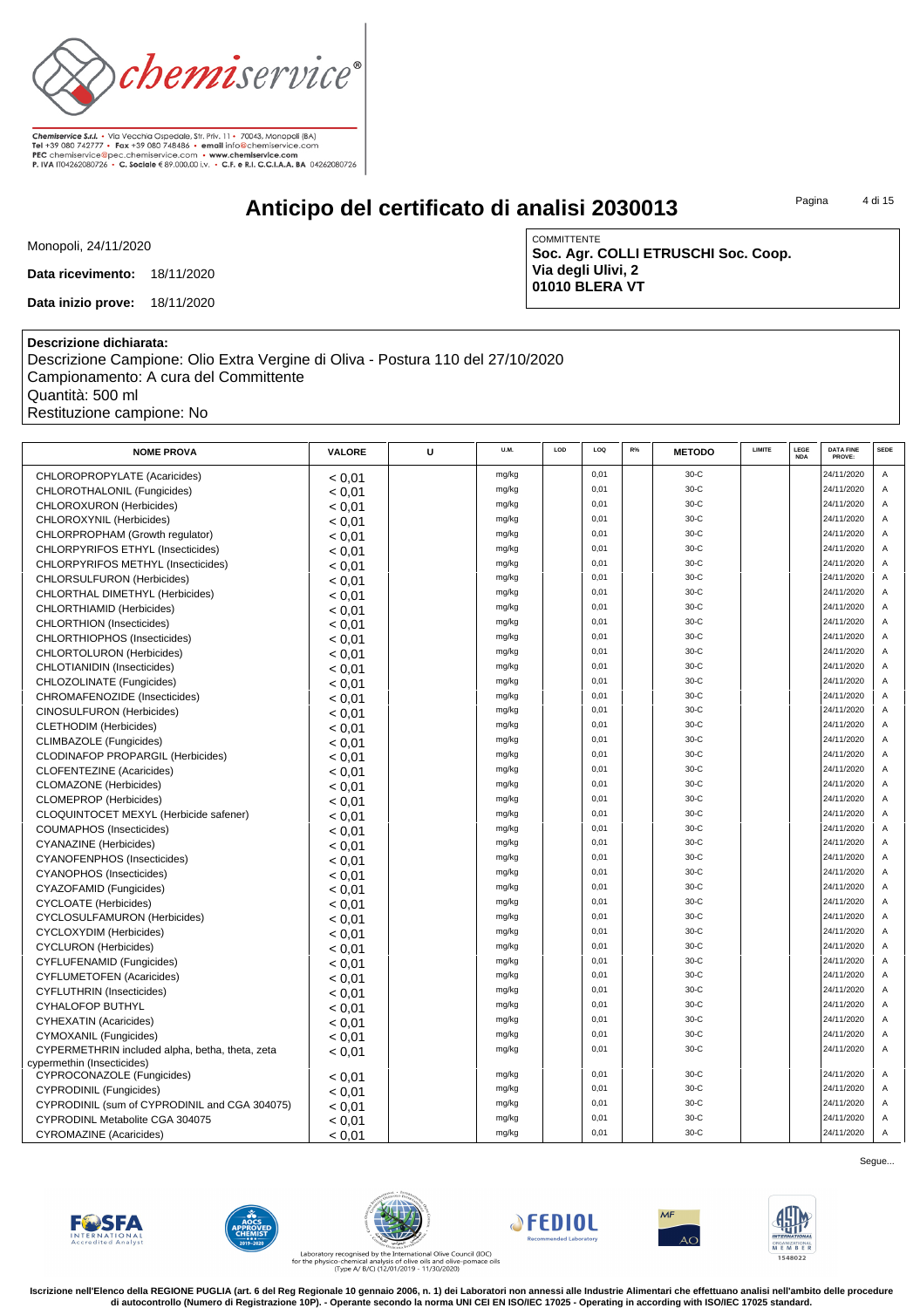

# **Anticipo del certificato di analisi 2030013**

Pagina 4 di 15

Monopoli, 24/11/2020

**Data ricevimento:** 18/11/2020

**Data inizio prove:** 18/11/2020

COMMITTENTE **Soc. Agr. COLLI ETRUSCHI Soc. Coop. Via degli Ulivi, 2 01010 BLERA VT**

#### **Descrizione dichiarata:**

Descrizione Campione: Olio Extra Vergine di Oliva - Postura 110 del 27/10/2020 Campionamento: A cura del Committente Quantità: 500 ml Restituzione campione: No

| <b>NOME PROVA</b>                               | VALORE | U | U.M.           | LOD | LOQ  | R% | <b>METODO</b> | LIMITE | LEGE<br><b>NDA</b> | <b>DATA FINE</b><br>PROVE: | <b>SEDE</b> |
|-------------------------------------------------|--------|---|----------------|-----|------|----|---------------|--------|--------------------|----------------------------|-------------|
| CHLOROPROPYLATE (Acaricides)                    | < 0.01 |   | mg/kg          |     | 0,01 |    | $30-C$        |        |                    | 24/11/2020                 | Α           |
| CHLOROTHALONIL (Fungicides)                     | < 0.01 |   | mg/kg          |     | 0,01 |    | $30-C$        |        |                    | 24/11/2020                 | Α           |
| CHLOROXURON (Herbicides)                        | < 0.01 |   | mg/kg          |     | 0,01 |    | $30-C$        |        |                    | 24/11/2020                 | Α           |
| CHLOROXYNIL (Herbicides)                        | < 0.01 |   | mg/kg          |     | 0,01 |    | 30-C          |        |                    | 24/11/2020                 | Α           |
| CHLORPROPHAM (Growth regulator)                 | < 0.01 |   | mg/kg          |     | 0,01 |    | 30-C          |        |                    | 24/11/2020                 | A           |
| CHLORPYRIFOS ETHYL (Insecticides)               | < 0.01 |   | mg/kg          |     | 0,01 |    | 30-C          |        |                    | 24/11/2020                 | Α           |
| CHLORPYRIFOS METHYL (Insecticides)              | < 0.01 |   | mg/kg          |     | 0,01 |    | $30-C$        |        |                    | 24/11/2020                 | Α           |
| <b>CHLORSULFURON (Herbicides)</b>               | < 0.01 |   | mg/kg          |     | 0,01 |    | 30-C          |        |                    | 24/11/2020                 | Α           |
| CHLORTHAL DIMETHYL (Herbicides)                 | < 0,01 |   | mg/kg          |     | 0,01 |    | 30-C          |        |                    | 24/11/2020                 | A           |
| CHLORTHIAMID (Herbicides)                       | < 0.01 |   | mg/kg          |     | 0,01 |    | 30-C          |        |                    | 24/11/2020                 | Α           |
| <b>CHLORTHION</b> (Insecticides)                | < 0.01 |   | mg/kg          |     | 0,01 |    | $30-C$        |        |                    | 24/11/2020                 | Α           |
| CHLORTHIOPHOS (Insecticides)                    | < 0.01 |   | mg/kg          |     | 0,01 |    | 30-C          |        |                    | 24/11/2020                 | Α           |
| CHLORTOLURON (Herbicides)                       | < 0.01 |   | mg/kg          |     | 0,01 |    | $30-C$        |        |                    | 24/11/2020                 | A           |
| CHLOTIANIDIN (Insecticides)                     | < 0.01 |   | mg/kg          |     | 0,01 |    | $30-C$        |        |                    | 24/11/2020                 | Α           |
| CHLOZOLINATE (Fungicides)                       | < 0.01 |   | mg/kg          |     | 0,01 |    | $30-C$        |        |                    | 24/11/2020                 | Α           |
| CHROMAFENOZIDE (Insecticides)                   | < 0.01 |   | mg/kg          |     | 0,01 |    | 30-C          |        |                    | 24/11/2020                 | Α           |
| CINOSULFURON (Herbicides)                       | < 0.01 |   | mg/kg          |     | 0,01 |    | $30-C$        |        |                    | 24/11/2020                 | A           |
| <b>CLETHODIM (Herbicides)</b>                   | < 0.01 |   | mg/kg          |     | 0,01 |    | 30-C          |        |                    | 24/11/2020                 | Α           |
| CLIMBAZOLE (Fungicides)                         | < 0.01 |   | mg/kg          |     | 0,01 |    | 30-C          |        |                    | 24/11/2020                 | Α           |
| <b>CLODINAFOP PROPARGIL (Herbicides)</b>        | < 0.01 |   | mg/kg          |     | 0,01 |    | $30-C$        |        |                    | 24/11/2020                 | Α           |
| <b>CLOFENTEZINE</b> (Acaricides)                | < 0.01 |   | mg/kg          |     | 0,01 |    | 30-C          |        |                    | 24/11/2020                 | Α           |
| <b>CLOMAZONE</b> (Herbicides)                   | < 0.01 |   | mg/kg          |     | 0,01 |    | $30-C$        |        |                    | 24/11/2020                 | Α           |
| <b>CLOMEPROP</b> (Herbicides)                   | < 0.01 |   | mg/kg          |     | 0,01 |    | 30-C          |        |                    | 24/11/2020                 | A           |
| CLOQUINTOCET MEXYL (Herbicide safener)          | < 0.01 |   | mg/kg          |     | 0,01 |    | 30-C          |        |                    | 24/11/2020                 | A           |
| COUMAPHOS (Insecticides)                        | < 0.01 |   | mg/kg          |     | 0,01 |    | 30-C          |        |                    | 24/11/2020                 | Α           |
| <b>CYANAZINE</b> (Herbicides)                   | < 0.01 |   | mg/kg          |     | 0,01 |    | 30-C          |        |                    | 24/11/2020                 | Α           |
| <b>CYANOFENPHOS (Insecticides)</b>              | < 0.01 |   | mg/kg          |     | 0,01 |    | $30-C$        |        |                    | 24/11/2020                 | Α           |
| <b>CYANOPHOS</b> (Insecticides)                 | < 0.01 |   | mg/kg          |     | 0,01 |    | $30-C$        |        |                    | 24/11/2020                 | A           |
| CYAZOFAMID (Fungicides)                         | < 0.01 |   | mg/kg          |     | 0,01 |    | 30-C          |        |                    | 24/11/2020                 | A           |
| <b>CYCLOATE</b> (Herbicides)                    | < 0.01 |   | mg/kg          |     | 0,01 |    | 30-C          |        |                    | 24/11/2020                 | Α           |
| <b>CYCLOSULFAMURON (Herbicides)</b>             | < 0.01 |   | mg/kg          |     | 0,01 |    | 30-C          |        |                    | 24/11/2020                 | Α           |
| CYCLOXYDIM (Herbicides)                         | < 0.01 |   | mg/kg          |     | 0,01 |    | $30-C$        |        |                    | 24/11/2020                 | Α           |
| <b>CYCLURON</b> (Herbicides)                    | < 0.01 |   | mg/kg          |     | 0,01 |    | 30-C          |        |                    | 24/11/2020                 | Α           |
| <b>CYFLUFENAMID (Fungicides)</b>                | < 0.01 |   | mg/kg          |     | 0,01 |    | $30-C$        |        |                    | 24/11/2020                 | A           |
| <b>CYFLUMETOFEN (Acaricides)</b>                | < 0.01 |   | mg/kg          |     | 0,01 |    | 30-C          |        |                    | 24/11/2020                 | Α           |
| <b>CYFLUTHRIN</b> (Insecticides)                | < 0.01 |   | mg/kg          |     | 0,01 |    | 30-C          |        |                    | 24/11/2020                 | Α           |
| <b>CYHALOFOP BUTHYL</b>                         | < 0.01 |   | mg/kg          |     | 0,01 |    | 30-C          |        |                    | 24/11/2020                 | Α           |
| <b>CYHEXATIN (Acaricides)</b>                   | < 0.01 |   | mg/kg          |     | 0.01 |    | $30-C$        |        |                    | 24/11/2020                 | A           |
| CYMOXANIL (Fungicides)                          | < 0.01 |   | mg/kg          |     | 0,01 |    | 30-C          |        |                    | 24/11/2020                 | A           |
| CYPERMETHRIN included alpha, betha, theta, zeta | < 0.01 |   | mg/kg          |     | 0,01 |    | 30-C          |        |                    | 24/11/2020                 | Α           |
| cypermethin (Insecticides)                      |        |   | mg/kg          |     | 0,01 |    | $30-C$        |        |                    | 24/11/2020                 | Α           |
| CYPROCONAZOLE (Fungicides)                      | < 0.01 |   | mg/kg          |     | 0,01 |    | $30-C$        |        |                    | 24/11/2020                 | Α           |
| <b>CYPRODINIL (Fungicides)</b>                  | < 0.01 |   |                |     | 0,01 |    | 30-C          |        |                    | 24/11/2020                 | Α           |
| CYPRODINIL (sum of CYPRODINIL and CGA 304075)   | < 0.01 |   | mg/kg<br>mg/kg |     | 0,01 |    | 30-C          |        |                    | 24/11/2020                 | Α           |
| CYPRODINL Metabolite CGA 304075                 | < 0.01 |   | mg/kg          |     | 0.01 |    | $30-C$        |        |                    | 24/11/2020                 | A           |
| <b>CYROMAZINE</b> (Acaricides)                  | < 0.01 |   |                |     |      |    |               |        |                    |                            |             |













Segue...

Laboratory recognised by the International Olive Council (IOC)<br>for the physico-chemical analysis of olive oils and olive-pomace oils<br>(Type A/ B/C) (12/01/2019 - 11/30/2020)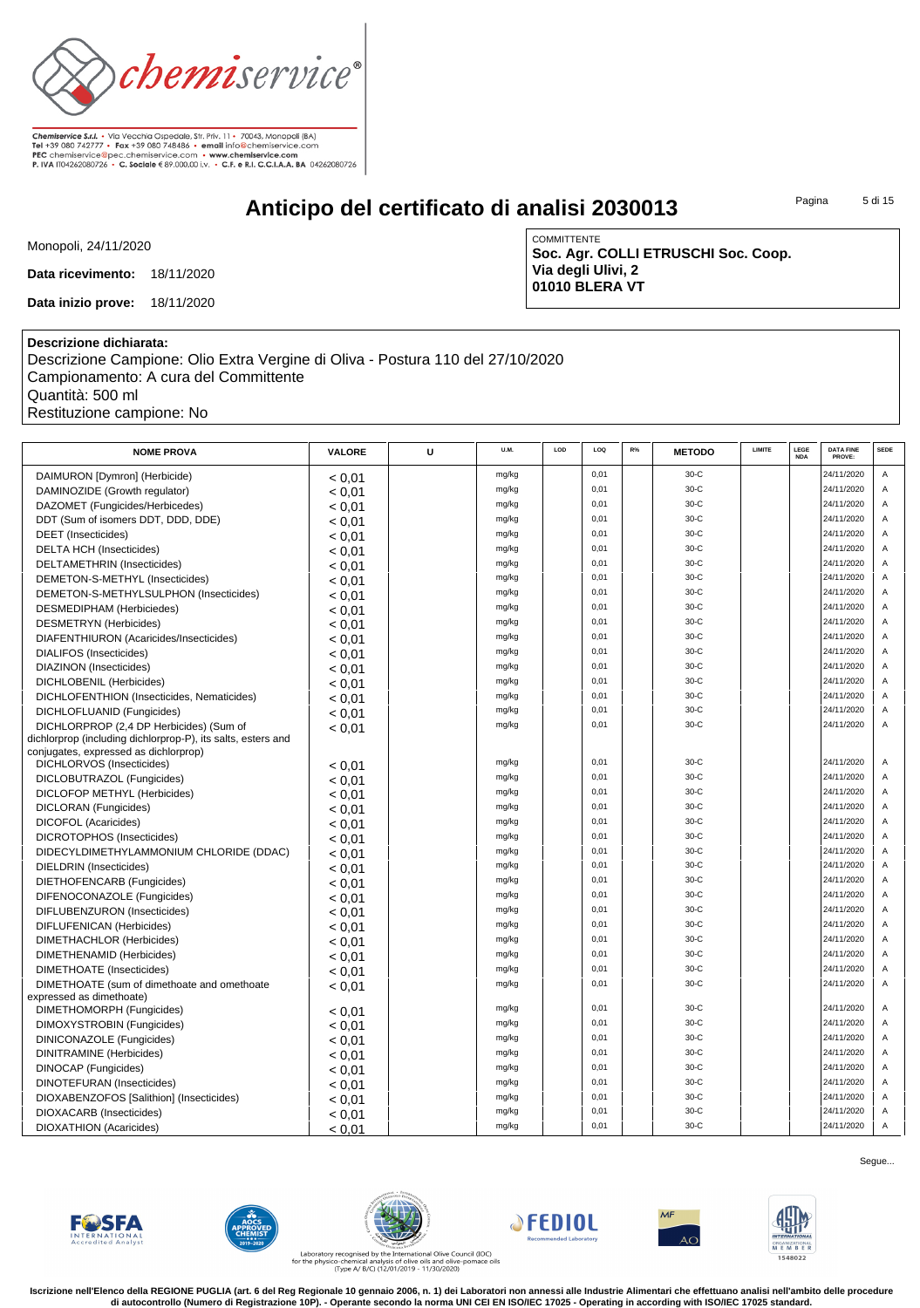

# **Anticipo del certificato di analisi 2030013**

Pagina 5 di 15

Monopoli, 24/11/2020

**Data ricevimento:** 18/11/2020

**Data inizio prove:** 18/11/2020

COMMITTENTE **Soc. Agr. COLLI ETRUSCHI Soc. Coop. Via degli Ulivi, 2 01010 BLERA VT**

#### **Descrizione dichiarata:**

Descrizione Campione: Olio Extra Vergine di Oliva - Postura 110 del 27/10/2020 Campionamento: A cura del Committente Quantità: 500 ml Restituzione campione: No

| <b>NOME PROVA</b>                                            | VALORE           | U | U.M.  | LOD | LOQ  | R% | <b>METODO</b> | LIMITE | LEGE<br><b>NDA</b> | <b>DATA FINE</b><br>PROVE: | <b>SEDE</b>    |
|--------------------------------------------------------------|------------------|---|-------|-----|------|----|---------------|--------|--------------------|----------------------------|----------------|
| DAIMURON [Dymron] (Herbicide)                                | < 0.01           |   | mg/kg |     | 0,01 |    | $30-C$        |        |                    | 24/11/2020                 | Α              |
| DAMINOZIDE (Growth regulator)                                | < 0.01           |   | mg/kg |     | 0,01 |    | 30-C          |        |                    | 24/11/2020                 | A              |
| DAZOMET (Fungicides/Herbicedes)                              | < 0.01           |   | mg/kg |     | 0,01 |    | 30-C          |        |                    | 24/11/2020                 | Α              |
| DDT (Sum of isomers DDT, DDD, DDE)                           | < 0.01           |   | mg/kg |     | 0,01 |    | 30-C          |        |                    | 24/11/2020                 | Α              |
| <b>DEET</b> (Insecticides)                                   | < 0.01           |   | mg/kg |     | 0,01 |    | $30-C$        |        |                    | 24/11/2020                 | Α              |
| <b>DELTA HCH (Insecticides)</b>                              | < 0.01           |   | mg/kg |     | 0,01 |    | 30-C          |        |                    | 24/11/2020                 | Α              |
| DELTAMETHRIN (Insecticides)                                  | < 0.01           |   | mg/kg |     | 0,01 |    | 30-C          |        |                    | 24/11/2020                 | Α              |
| DEMETON-S-METHYL (Insecticides)                              | < 0.01           |   | mg/kg |     | 0,01 |    | $30-C$        |        |                    | 24/11/2020                 | Α              |
| DEMETON-S-METHYLSULPHON (Insecticides)                       | < 0.01           |   | mg/kg |     | 0,01 |    | 30-C          |        |                    | 24/11/2020                 | Α              |
| <b>DESMEDIPHAM</b> (Herbiciedes)                             | < 0.01           |   | mg/kg |     | 0,01 |    | $30-C$        |        |                    | 24/11/2020                 | Α              |
| <b>DESMETRYN</b> (Herbicides)                                | < 0.01           |   | mg/kg |     | 0,01 |    | $30-C$        |        |                    | 24/11/2020                 | A              |
| DIAFENTHIURON (Acaricides/Insecticides)                      | < 0.01           |   | mg/kg |     | 0,01 |    | 30-C          |        |                    | 24/11/2020                 | Α              |
| <b>DIALIFOS</b> (Insecticides)                               | < 0.01           |   | mg/kg |     | 0,01 |    | 30-C          |        |                    | 24/11/2020                 | Α              |
| DIAZINON (Insecticides)                                      | < 0.01           |   | mg/kg |     | 0,01 |    | $30-C$        |        |                    | 24/11/2020                 | A              |
| DICHLOBENIL (Herbicides)                                     | < 0.01           |   | mg/kg |     | 0,01 |    | 30-C          |        |                    | 24/11/2020                 | Α              |
| DICHLOFENTHION (Insecticides, Nematicides)                   | < 0.01           |   | mg/kg |     | 0,01 |    | 30-C          |        |                    | 24/11/2020                 | A              |
| DICHLOFLUANID (Fungicides)                                   | < 0.01           |   | mg/kg |     | 0.01 |    | $30-C$        |        |                    | 24/11/2020                 | $\overline{A}$ |
| DICHLORPROP (2,4 DP Herbicides) (Sum of                      | < 0.01           |   | mg/kg |     | 0.01 |    | $30-C$        |        |                    | 24/11/2020                 | $\overline{A}$ |
| dichlorprop (including dichlorprop-P), its salts, esters and |                  |   |       |     |      |    |               |        |                    |                            |                |
| conjugates, expressed as dichlorprop)                        |                  |   |       |     |      |    |               |        |                    |                            |                |
| DICHLORVOS (Insecticides)                                    | < 0.01           |   | mg/kg |     | 0,01 |    | $30-C$        |        |                    | 24/11/2020                 | $\overline{A}$ |
| DICLOBUTRAZOL (Fungicides)                                   | < 0.01           |   | mg/kg |     | 0,01 |    | $30-C$        |        |                    | 24/11/2020                 | $\overline{A}$ |
| <b>DICLOFOP METHYL (Herbicides)</b>                          | < 0.01           |   | mg/kg |     | 0,01 |    | 30-C          |        |                    | 24/11/2020                 | Α              |
| DICLORAN (Fungicides)                                        | < 0.01           |   | mg/kg |     | 0,01 |    | $30-C$        |        |                    | 24/11/2020                 | Α              |
| DICOFOL (Acaricides)                                         | < 0.01           |   | mg/kg |     | 0,01 |    | $30 - C$      |        |                    | 24/11/2020                 | Α              |
| DICROTOPHOS (Insecticides)                                   | < 0.01           |   | mg/kg |     | 0,01 |    | 30-C          |        |                    | 24/11/2020                 | Α              |
| DIDECYLDIMETHYLAMMONIUM CHLORIDE (DDAC)                      | < 0.01           |   | mg/kg |     | 0,01 |    | $30-C$        |        |                    | 24/11/2020                 | Α              |
| DIELDRIN (Insecticides)                                      | < 0.01           |   | mg/kg |     | 0,01 |    | 30-C          |        |                    | 24/11/2020                 | Α              |
| DIETHOFENCARB (Fungicides)                                   | < 0.01           |   | mg/kg |     | 0,01 |    | 30-C          |        |                    | 24/11/2020                 | Α              |
| DIFENOCONAZOLE (Fungicides)                                  | < 0.01           |   | mg/kg |     | 0,01 |    | $30-C$        |        |                    | 24/11/2020                 | Α              |
| DIFLUBENZURON (Insecticides)                                 | < 0.01           |   | mg/kg |     | 0,01 |    | 30-C          |        |                    | 24/11/2020                 | Α              |
| DIFLUFENICAN (Herbicides)                                    | < 0.01           |   | mg/kg |     | 0,01 |    | 30-C          |        |                    | 24/11/2020                 | Α              |
| DIMETHACHLOR (Herbicides)                                    | < 0.01           |   | mg/kg |     | 0,01 |    | $30-C$        |        |                    | 24/11/2020                 | A              |
| DIMETHENAMID (Herbicides)                                    | < 0.01           |   | mg/kg |     | 0,01 |    | 30-C          |        |                    | 24/11/2020                 | Α              |
| DIMETHOATE (Insecticides)                                    | < 0.01           |   | mg/kg |     | 0,01 |    | 30-C          |        |                    | 24/11/2020                 | Α              |
| DIMETHOATE (sum of dimethoate and omethoate                  | < 0.01           |   | mg/kg |     | 0,01 |    | $30-C$        |        |                    | 24/11/2020                 | A              |
| expressed as dimethoate)<br>DIMETHOMORPH (Fungicides)        |                  |   | mg/kg |     | 0,01 |    | $30-C$        |        |                    | 24/11/2020                 | Α              |
| DIMOXYSTROBIN (Fungicides)                                   | < 0.01<br>< 0.01 |   | mg/kg |     | 0,01 |    | $30-C$        |        |                    | 24/11/2020                 | $\overline{A}$ |
| DINICONAZOLE (Fungicides)                                    | < 0.01           |   | mg/kg |     | 0,01 |    | 30-C          |        |                    | 24/11/2020                 | Α              |
| DINITRAMINE (Herbicides)                                     | < 0.01           |   | mg/kg |     | 0,01 |    | 30-C          |        |                    | 24/11/2020                 | A              |
| <b>DINOCAP</b> (Fungicides)                                  |                  |   | mg/kg |     | 0,01 |    | $30-C$        |        |                    | 24/11/2020                 | A              |
| <b>DINOTEFURAN (Insecticides)</b>                            | < 0.01<br>< 0.01 |   | mg/kg |     | 0,01 |    | 30-C          |        |                    | 24/11/2020                 | Α              |
| DIOXABENZOFOS [Salithion] (Insecticides)                     | < 0.01           |   | mg/kg |     | 0,01 |    | 30-C          |        |                    | 24/11/2020                 | A              |
| DIOXACARB (Insecticides)                                     |                  |   | mg/kg |     | 0,01 |    | $30-C$        |        |                    | 24/11/2020                 | $\overline{A}$ |
| <b>DIOXATHION</b> (Acaricides)                               | < 0.01<br>< 0.01 |   | mg/kg |     | 0.01 |    | $30-C$        |        |                    | 24/11/2020                 | $\overline{A}$ |
|                                                              |                  |   |       |     |      |    |               |        |                    |                            |                |













Laboratory recognised by the International Olive Council (IOC)<br>for the physico-chemical analysis of olive oils and olive-pomace oils<br>(Type A/ B/C) (12/01/2019 - 11/30/2020)

**Iscrizione nell'Elenco della REGIONE PUGLIA (art. 6 del Reg Regionale 10 gennaio 2006, n. 1) dei Laboratori non annessi alle Industrie Alimentari che effettuano analisi nell'ambito delle procedure di autocontrollo (Numero di Registrazione 10P). - Operante secondo la norma UNI CEI EN ISO/IEC 17025 - Operating in according with ISO/IEC 17025 standard.**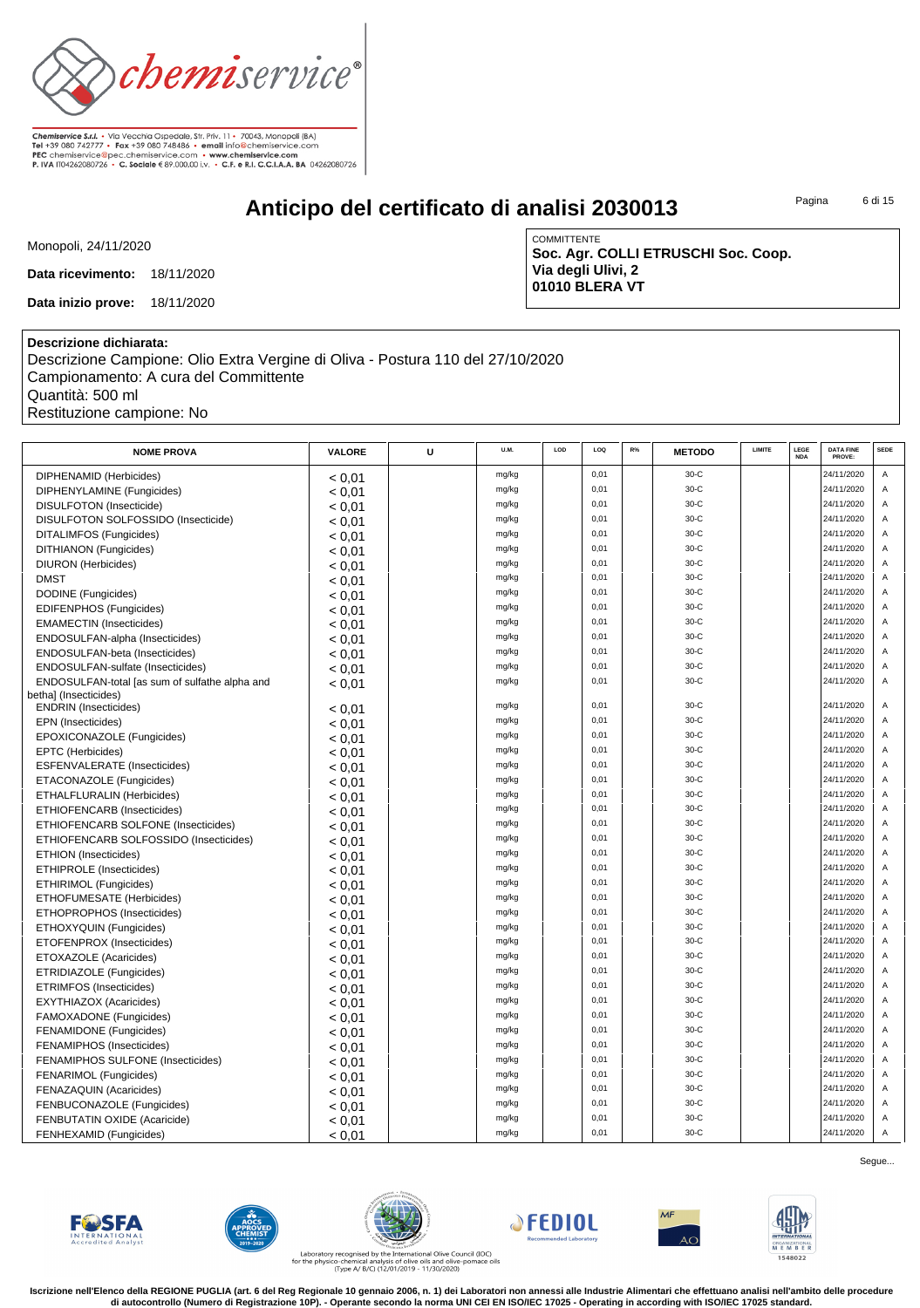

# **Anticipo del certificato di analisi 2030013**

Pagina 6 di 15

Monopoli, 24/11/2020

**Data ricevimento:** 18/11/2020

**Data inizio prove:** 18/11/2020

COMMITTENTE **Soc. Agr. COLLI ETRUSCHI Soc. Coop. Via degli Ulivi, 2 01010 BLERA VT**

#### **Descrizione dichiarata:**

Descrizione Campione: Olio Extra Vergine di Oliva - Postura 110 del 27/10/2020 Campionamento: A cura del Committente Quantità: 500 ml Restituzione campione: No

| <b>NOME PROVA</b>                              | VALORE | U | U.M.  | LOD | LOQ  | R% | <b>METODO</b> | LIMITE | LEGE<br><b>NDA</b> | <b>DATA FINE</b><br>PROVE: | <b>SEDE</b>    |
|------------------------------------------------|--------|---|-------|-----|------|----|---------------|--------|--------------------|----------------------------|----------------|
| DIPHENAMID (Herbicides)                        | < 0.01 |   | mg/kg |     | 0.01 |    | $30-C$        |        |                    | 24/11/2020                 | $\overline{A}$ |
| DIPHENYLAMINE (Fungicides)                     | < 0.01 |   | mg/kg |     | 0,01 |    | $30-C$        |        |                    | 24/11/2020                 | Α              |
| DISULFOTON (Insecticide)                       | < 0.01 |   | mg/kg |     | 0,01 |    | 30-C          |        |                    | 24/11/2020                 | A              |
| DISULFOTON SOLFOSSIDO (Insecticide)            | < 0.01 |   | mg/kg |     | 0,01 |    | $30-C$        |        |                    | 24/11/2020                 | A              |
| DITALIMFOS (Fungicides)                        | < 0.01 |   | mg/kg |     | 0,01 |    | $30-C$        |        |                    | 24/11/2020                 | A              |
| DITHIANON (Fungicides)                         | < 0.01 |   | mg/kg |     | 0,01 |    | $30-C$        |        |                    | 24/11/2020                 | A              |
| <b>DIURON</b> (Herbicides)                     | < 0.01 |   | mg/kg |     | 0,01 |    | $30-C$        |        |                    | 24/11/2020                 | A              |
| <b>DMST</b>                                    | < 0.01 |   | mg/kg |     | 0,01 |    | $30-C$        |        |                    | 24/11/2020                 | $\mathsf A$    |
| DODINE (Fungicides)                            | < 0.01 |   | mg/kg |     | 0,01 |    | $30-C$        |        |                    | 24/11/2020                 | A              |
| <b>EDIFENPHOS (Fungicides)</b>                 | < 0.01 |   | mg/kg |     | 0.01 |    | $30-C$        |        |                    | 24/11/2020                 | A              |
| <b>EMAMECTIN</b> (Insecticides)                | < 0,01 |   | mg/kg |     | 0,01 |    | $30-C$        |        |                    | 24/11/2020                 | $\mathsf A$    |
| ENDOSULFAN-alpha (Insecticides)                | < 0.01 |   | mg/kg |     | 0,01 |    | 30-C          |        |                    | 24/11/2020                 | A              |
| ENDOSULFAN-beta (Insecticides)                 | < 0.01 |   | mg/kg |     | 0.01 |    | $30-C$        |        |                    | 24/11/2020                 | $\overline{A}$ |
| ENDOSULFAN-sulfate (Insecticides)              | < 0.01 |   | mg/kg |     | 0.01 |    | $30-C$        |        |                    | 24/11/2020                 | $\overline{A}$ |
| ENDOSULFAN-total [as sum of sulfathe alpha and | < 0.01 |   | mg/kg |     | 0,01 |    | $30-C$        |        |                    | 24/11/2020                 | A              |
| bethal (Insecticides)                          |        |   |       |     |      |    |               |        |                    |                            |                |
| <b>ENDRIN</b> (Insecticides)                   | < 0.01 |   | mg/kg |     | 0.01 |    | $30-C$        |        |                    | 24/11/2020                 | $\overline{A}$ |
| EPN (Insecticides)                             | < 0.01 |   | mg/kg |     | 0,01 |    | $30-C$        |        |                    | 24/11/2020                 | A              |
| EPOXICONAZOLE (Fungicides)                     | < 0.01 |   | mg/kg |     | 0,01 |    | 30-C          |        |                    | 24/11/2020                 | A              |
| EPTC (Herbicides)                              | < 0.01 |   | mg/kg |     | 0,01 |    | $30-C$        |        |                    | 24/11/2020                 | A              |
| ESFENVALERATE (Insecticides)                   | < 0.01 |   | mg/kg |     | 0,01 |    | $30-C$        |        |                    | 24/11/2020                 | A              |
| ETACONAZOLE (Fungicides)                       | < 0.01 |   | mg/kg |     | 0,01 |    | $30-C$        |        |                    | 24/11/2020                 | $\overline{A}$ |
| ETHALFLURALIN (Herbicides)                     | < 0.01 |   | mg/kg |     | 0,01 |    | $30-C$        |        |                    | 24/11/2020                 | A              |
| ETHIOFENCARB (Insecticides)                    | < 0.01 |   | mg/kg |     | 0,01 |    | $30-C$        |        |                    | 24/11/2020                 | $\overline{A}$ |
| ETHIOFENCARB SOLFONE (Insecticides)            | < 0.01 |   | mg/kg |     | 0,01 |    | $30-C$        |        |                    | 24/11/2020                 | A              |
| ETHIOFENCARB SOLFOSSIDO (Insecticides)         | < 0.01 |   | mg/kg |     | 0.01 |    | $30-C$        |        |                    | 24/11/2020                 | A              |
| <b>ETHION</b> (Insecticides)                   | < 0.01 |   | mg/kg |     | 0,01 |    | $30-C$        |        |                    | 24/11/2020                 | A              |
| ETHIPROLE (Insecticides)                       | < 0.01 |   | mg/kg |     | 0,01 |    | $30-C$        |        |                    | 24/11/2020                 | A              |
| ETHIRIMOL (Fungicides)                         | < 0.01 |   | mg/kg |     | 0,01 |    | $30-C$        |        |                    | 24/11/2020                 | A              |
| <b>ETHOFUMESATE (Herbicides)</b>               | < 0.01 |   | mg/kg |     | 0.01 |    | $30-C$        |        |                    | 24/11/2020                 | A              |
| ETHOPROPHOS (Insecticides)                     | < 0.01 |   | mg/kg |     | 0,01 |    | $30-C$        |        |                    | 24/11/2020                 | A              |
| ETHOXYQUIN (Fungicides)                        | < 0.01 |   | mg/kg |     | 0,01 |    | $30-C$        |        |                    | 24/11/2020                 | A              |
| ETOFENPROX (Insecticides)                      | < 0.01 |   | mg/kg |     | 0.01 |    | $30-C$        |        |                    | 24/11/2020                 | $\overline{A}$ |
| ETOXAZOLE (Acaricides)                         | < 0.01 |   | mg/kg |     | 0,01 |    | $30-C$        |        |                    | 24/11/2020                 | A              |
| ETRIDIAZOLE (Fungicides)                       | < 0.01 |   | mg/kg |     | 0,01 |    | $30-C$        |        |                    | 24/11/2020                 | A              |
| ETRIMFOS (Insecticides)                        | < 0.01 |   | mg/kg |     | 0,01 |    | $30-C$        |        |                    | 24/11/2020                 | A              |
| <b>EXYTHIAZOX (Acaricides)</b>                 | < 0.01 |   | mg/kg |     | 0,01 |    | $30-C$        |        |                    | 24/11/2020                 | A              |
| FAMOXADONE (Fungicides)                        | < 0.01 |   | mg/kg |     | 0,01 |    | $30-C$        |        |                    | 24/11/2020                 | $\overline{A}$ |
| <b>FENAMIDONE</b> (Fungicides)                 | < 0.01 |   | mg/kg |     | 0,01 |    | $30-C$        |        |                    | 24/11/2020                 | A              |
| FENAMIPHOS (Insecticides)                      | < 0.01 |   | mg/kg |     | 0,01 |    | $30-C$        |        |                    | 24/11/2020                 | $\overline{A}$ |
| FENAMIPHOS SULFONE (Insecticides)              | < 0.01 |   | mg/kg |     | 0,01 |    | $30-C$        |        |                    | 24/11/2020                 | A              |
| FENARIMOL (Fungicides)                         | < 0.01 |   | mg/kg |     | 0,01 |    | $30-C$        |        |                    | 24/11/2020                 | $\overline{A}$ |
| <b>FENAZAQUIN (Acaricides)</b>                 | < 0,01 |   | mg/kg |     | 0.01 |    | $30-C$        |        |                    | 24/11/2020                 | A              |
| FENBUCONAZOLE (Fungicides)                     | < 0.01 |   | mg/kg |     | 0,01 |    | $30-C$        |        |                    | 24/11/2020                 | Α              |
| FENBUTATIN OXIDE (Acaricide)                   | < 0.01 |   | mg/kg |     | 0,01 |    | $30-C$        |        |                    | 24/11/2020                 | Α              |
| FENHEXAMID (Fungicides)                        | < 0.01 |   | mg/kg |     | 0.01 |    | $30-C$        |        |                    | 24/11/2020                 | $\overline{A}$ |













Laboratory recognised by the International Olive Council (IOC)<br>for the physico-chemical analysis of olive oils and olive-pomace oils<br>(Type A/ B/C) (12/01/2019 - 11/30/2020)

**Iscrizione nell'Elenco della REGIONE PUGLIA (art. 6 del Reg Regionale 10 gennaio 2006, n. 1) dei Laboratori non annessi alle Industrie Alimentari che effettuano analisi nell'ambito delle procedure di autocontrollo (Numero di Registrazione 10P). - Operante secondo la norma UNI CEI EN ISO/IEC 17025 - Operating in according with ISO/IEC 17025 standard.**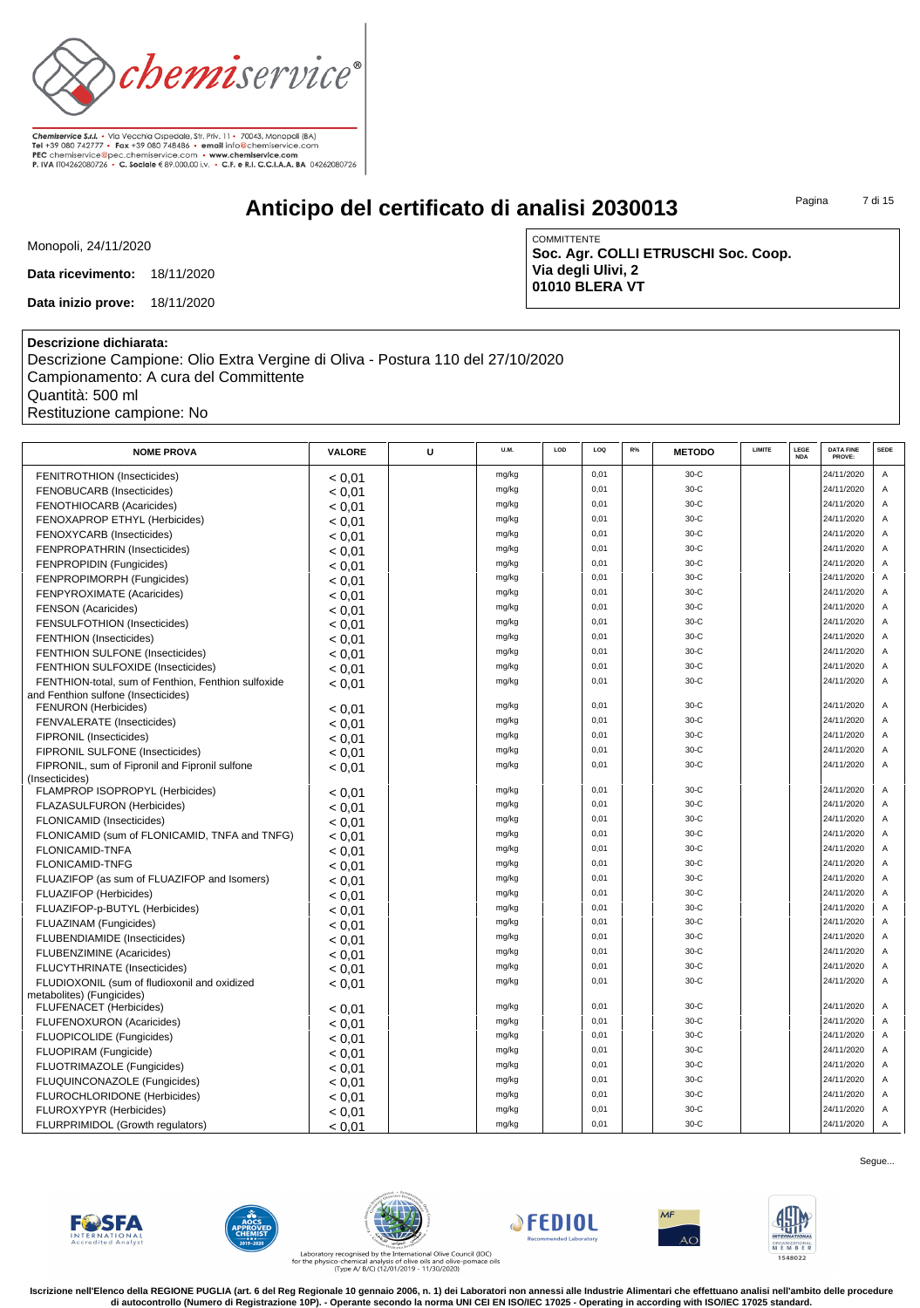

# **Anticipo del certificato di analisi 2030013**

Pagina 7 di 15

Monopoli, 24/11/2020

**Data ricevimento:** 18/11/2020

**Data inizio prove:** 18/11/2020

**COMMITTENTE Soc. Agr. COLLI ETRUSCHI Soc. Coop. Via degli Ulivi, 2 01010 BLERA VT**

### **Descrizione dichiarata:**

Descrizione Campione: Olio Extra Vergine di Oliva - Postura 110 del 27/10/2020 Campionamento: A cura del Committente Quantità: 500 ml Restituzione campione: No

| <b>NOME PROVA</b>                                                         | <b>VALORE</b> | U | U.M.  | LOD | LOO  | R% | <b>METODO</b> | <b>LIMITE</b> | LEGE<br><b>NDA</b> | <b>DATA FINE</b><br>PROVE: | <b>SEDE</b>    |
|---------------------------------------------------------------------------|---------------|---|-------|-----|------|----|---------------|---------------|--------------------|----------------------------|----------------|
| <b>FENITROTHION (Insecticides)</b>                                        | < 0.01        |   | mg/kg |     | 0.01 |    | $30-C$        |               |                    | 24/11/2020                 | A              |
| FENOBUCARB (Insecticides)                                                 | < 0.01        |   | mg/kg |     | 0.01 |    | $30-C$        |               |                    | 24/11/2020                 | $\overline{A}$ |
| <b>FENOTHIOCARB (Acaricides)</b>                                          | < 0.01        |   | mg/kg |     | 0.01 |    | $30-C$        |               |                    | 24/11/2020                 | $\overline{A}$ |
| FENOXAPROP ETHYL (Herbicides)                                             | < 0.01        |   | mg/kg |     | 0,01 |    | $30-C$        |               |                    | 24/11/2020                 | $\overline{A}$ |
| FENOXYCARB (Insecticides)                                                 | < 0.01        |   | mg/kg |     | 0,01 |    | 30-C          |               |                    | 24/11/2020                 | $\overline{A}$ |
| FENPROPATHRIN (Insecticides)                                              | < 0.01        |   | mg/kg |     | 0.01 |    | $30-C$        |               |                    | 24/11/2020                 | A              |
| FENPROPIDIN (Fungicides)                                                  | < 0.01        |   | mg/kg |     | 0.01 |    | $30-C$        |               |                    | 24/11/2020                 | $\overline{A}$ |
| FENPROPIMORPH (Fungicides)                                                | < 0.01        |   | mg/kg |     | 0,01 |    | 30-C          |               |                    | 24/11/2020                 | A              |
| FENPYROXIMATE (Acaricides)                                                | < 0.01        |   | mg/kg |     | 0,01 |    | $30-C$        |               |                    | 24/11/2020                 | $\Delta$       |
| <b>FENSON (Acaricides)</b>                                                | < 0.01        |   | mg/kg |     | 0,01 |    | $30-C$        |               |                    | 24/11/2020                 | $\overline{A}$ |
| FENSULFOTHION (Insecticides)                                              | < 0.01        |   | mg/kg |     | 0,01 |    | 30-C          |               |                    | 24/11/2020                 | A              |
| <b>FENTHION</b> (Insecticides)                                            | < 0.01        |   | mg/kg |     | 0,01 |    | $30-C$        |               |                    | 24/11/2020                 | A              |
| FENTHION SULFONE (Insecticides)                                           | < 0.01        |   | mg/kg |     | 0,01 |    | $30-C$        |               |                    | 24/11/2020                 | A              |
| FENTHION SULFOXIDE (Insecticides)                                         | < 0.01        |   | mg/kg |     | 0,01 |    | 30-C          |               |                    | 24/11/2020                 | A              |
| FENTHION-total, sum of Fenthion, Fenthion sulfoxide                       | < 0.01        |   | mg/kg |     | 0,01 |    | $30-C$        |               |                    | 24/11/2020                 | A              |
| and Fenthion sulfone (Insecticides)                                       |               |   |       |     |      |    |               |               |                    |                            |                |
| <b>FENURON</b> (Herbicides)                                               | < 0.01        |   | mg/kg |     | 0,01 |    | $30-C$        |               |                    | 24/11/2020                 | A              |
| FENVALERATE (Insecticides)                                                | < 0.01        |   | mg/kg |     | 0,01 |    | $30-C$        |               |                    | 24/11/2020                 | A              |
| FIPRONIL (Insecticides)                                                   | < 0.01        |   | mg/kg |     | 0,01 |    | $30-C$        |               |                    | 24/11/2020                 | A              |
| FIPRONIL SULFONE (Insecticides)                                           | < 0.01        |   | mg/kg |     | 0,01 |    | $30-C$        |               |                    | 24/11/2020                 |                |
| FIPRONIL, sum of Fipronil and Fipronil sulfone                            | < 0,01        |   | mg/kg |     | 0,01 |    | $30-C$        |               |                    | 24/11/2020                 | A              |
| (Insecticides)                                                            |               |   |       |     |      |    |               |               |                    |                            |                |
| FLAMPROP ISOPROPYL (Herbicides)                                           | < 0.01        |   | mg/kg |     | 0.01 |    | $30-C$        |               |                    | 24/11/2020                 | A              |
| FLAZASULFURON (Herbicides)                                                | < 0.01        |   | mg/kg |     | 0.01 |    | $30-C$        |               |                    | 24/11/2020                 | $\overline{A}$ |
| <b>FLONICAMID (Insecticides)</b>                                          | < 0.01        |   | mg/kg |     | 0,01 |    | $30-C$        |               |                    | 24/11/2020                 | A              |
| FLONICAMID (sum of FLONICAMID, TNFA and TNFG)                             | < 0.01        |   | mg/kg |     | 0,01 |    | $30-C$        |               |                    | 24/11/2020                 |                |
| <b>FLONICAMID-TNFA</b>                                                    | < 0.01        |   | mg/kg |     | 0.01 |    | $30-C$        |               |                    | 24/11/2020                 | $\overline{A}$ |
| <b>FLONICAMID-TNFG</b>                                                    | < 0.01        |   | mg/kg |     | 0,01 |    | $30-C$        |               |                    | 24/11/2020                 | $\overline{A}$ |
| FLUAZIFOP (as sum of FLUAZIFOP and Isomers)                               | < 0.01        |   | mg/kg |     | 0,01 |    | $30-C$        |               |                    | 24/11/2020                 | A              |
| <b>FLUAZIFOP (Herbicides)</b>                                             | < 0.01        |   | mg/kg |     | 0.01 |    | $30-C$        |               |                    | 24/11/2020                 | A              |
| FLUAZIFOP-p-BUTYL (Herbicides)                                            | < 0.01        |   | mg/kg |     | 0.01 |    | $30-C$        |               |                    | 24/11/2020                 | $\Delta$       |
| FLUAZINAM (Fungicides)                                                    | < 0.01        |   | mg/kg |     | 0,01 |    | $30-C$        |               |                    | 24/11/2020                 | A              |
| FLUBENDIAMIDE (Insecticides)                                              | < 0.01        |   | mg/kg |     | 0.01 |    | $30-C$        |               |                    | 24/11/2020                 | A              |
| <b>FLUBENZIMINE</b> (Acaricides)                                          | < 0,01        |   | mg/kg |     | 0,01 |    | $30-C$        |               |                    | 24/11/2020                 | $\overline{A}$ |
| FLUCYTHRINATE (Insecticides)                                              | < 0.01        |   | mg/kg |     | 0,01 |    | 30-C          |               |                    | 24/11/2020                 | $\overline{A}$ |
| FLUDIOXONIL (sum of fludioxonil and oxidized<br>metabolites) (Fungicides) | < 0.01        |   | mg/kg |     | 0.01 |    | $30-C$        |               |                    | 24/11/2020                 | A              |
| <b>FLUFENACET</b> (Herbicides)                                            | < 0.01        |   | mg/kg |     | 0,01 |    | $30-C$        |               |                    | 24/11/2020                 | A              |
| FLUFENOXURON (Acaricides)                                                 | < 0.01        |   | mg/kg |     | 0,01 |    | $30-C$        |               |                    | 24/11/2020                 | A              |
| <b>FLUOPICOLIDE</b> (Fungicides)                                          | < 0.01        |   | mg/kg |     | 0,01 |    | $30-C$        |               |                    | 24/11/2020                 | A              |
| FLUOPIRAM (Fungicide)                                                     | < 0.01        |   | mg/kg |     | 0,01 |    | $30-C$        |               |                    | 24/11/2020                 | A              |
| FLUOTRIMAZOLE (Fungicides)                                                | < 0.01        |   | mg/kg |     | 0,01 |    | $30-C$        |               |                    | 24/11/2020                 | A              |
| FLUQUINCONAZOLE (Fungicides)                                              | < 0.01        |   | mg/kg |     | 0,01 |    | $30-C$        |               |                    | 24/11/2020                 | Α              |
| FLUROCHLORIDONE (Herbicides)                                              | < 0,01        |   | mg/kg |     | 0,01 |    | $30-C$        |               |                    | 24/11/2020                 | A              |
| FLUROXYPYR (Herbicides)                                                   | < 0.01        |   | mg/kg |     | 0,01 |    | $30-C$        |               |                    | 24/11/2020                 | Α              |
| <b>FLURPRIMIDOL (Growth regulators)</b>                                   | < 0.01        |   | mg/kg |     | 0,01 |    | 30-C          |               |                    | 24/11/2020                 | Α              |













Laboratory recognised by the International Olive Council (IOC)<br>for the physico-chemical analysis of olive oils and olive-pomace oils<br>(Type A/ B/C) (12/01/2019 - 11/30/2020)

**Iscrizione nell'Elenco della REGIONE PUGLIA (art. 6 del Reg Regionale 10 gennaio 2006, n. 1) dei Laboratori non annessi alle Industrie Alimentari che effettuano analisi nell'ambito delle procedure di autocontrollo (Numero di Registrazione 10P). - Operante secondo la norma UNI CEI EN ISO/IEC 17025 - Operating in according with ISO/IEC 17025 standard.**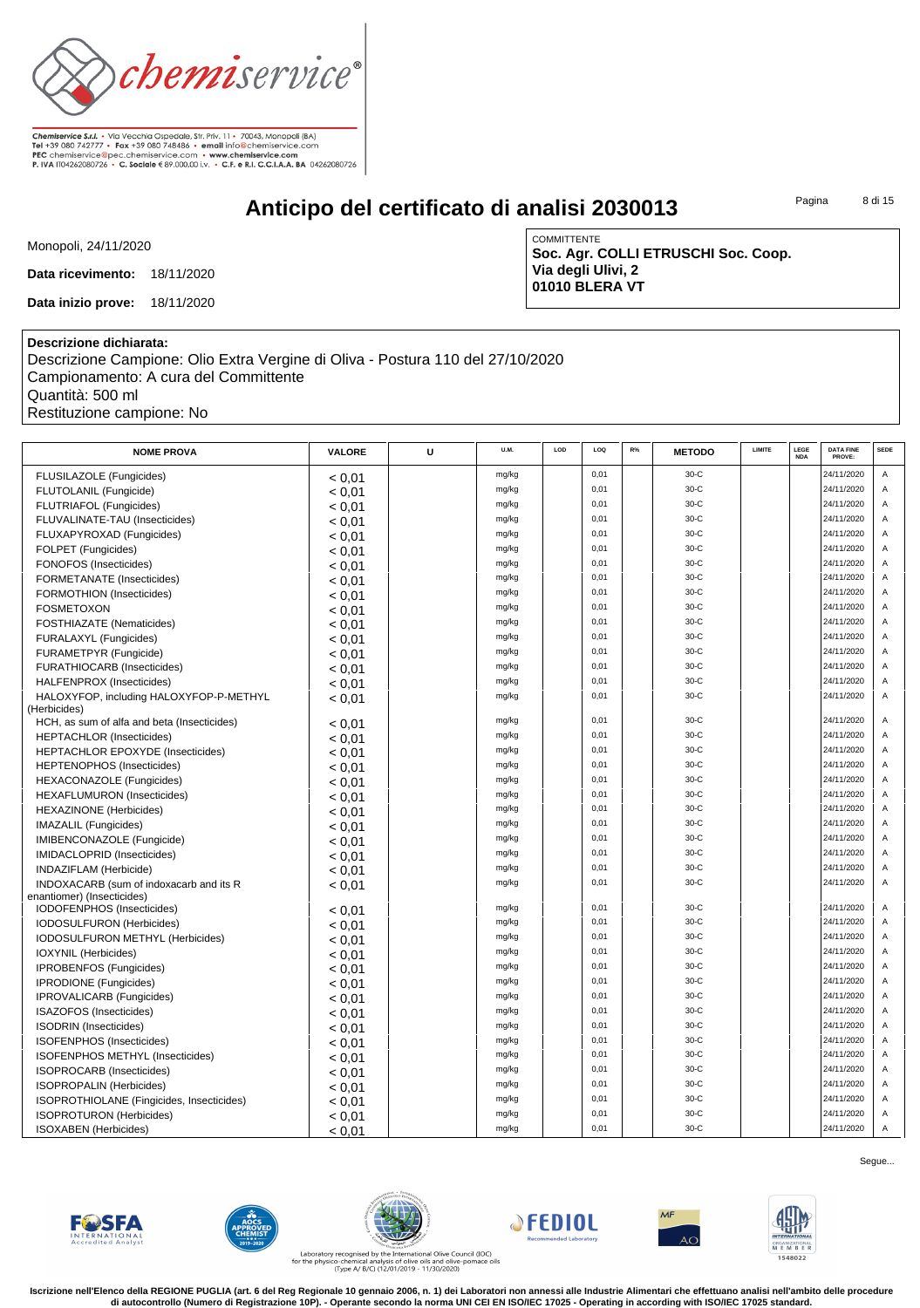

# **Anticipo del certificato di analisi 2030013**

Pagina 8 di 15

Monopoli, 24/11/2020

**Data ricevimento:** 18/11/2020

**Data inizio prove:** 18/11/2020

COMMITTENTE **Soc. Agr. COLLI ETRUSCHI Soc. Coop. Via degli Ulivi, 2 01010 BLERA VT**

### **Descrizione dichiarata:**

Descrizione Campione: Olio Extra Vergine di Oliva - Postura 110 del 27/10/2020 Campionamento: A cura del Committente Quantità: 500 ml Restituzione campione: No

| <b>NOME PROVA</b>                                                     | VALORE | U | U.M.           | LOD | LOQ  | $R\%$ | <b>METODO</b> | LIMITE | LEGE       | <b>DATA FINE</b> | <b>SEDE</b>    |
|-----------------------------------------------------------------------|--------|---|----------------|-----|------|-------|---------------|--------|------------|------------------|----------------|
|                                                                       |        |   |                |     |      |       |               |        | <b>NDA</b> | PROVE:           |                |
| FLUSILAZOLE (Fungicides)                                              | < 0.01 |   | mg/kg          |     | 0,01 |       | $30-C$        |        |            | 24/11/2020       | Α              |
| FLUTOLANIL (Fungicide)                                                | < 0.01 |   | mg/kg          |     | 0,01 |       | 30-C          |        |            | 24/11/2020       | Α              |
| FLUTRIAFOL (Fungicides)                                               | < 0.01 |   | mg/kg          |     | 0,01 |       | 30-C          |        |            | 24/11/2020       | Α              |
| FLUVALINATE-TAU (Insecticides)                                        | < 0.01 |   | mg/kg          |     | 0.01 |       | $30-C$        |        |            | 24/11/2020       | A              |
| FLUXAPYROXAD (Fungicides)                                             | < 0.01 |   | mg/kg          |     | 0.01 |       | $30-C$        |        |            | 24/11/2020       | $\overline{A}$ |
| FOLPET (Fungicides)                                                   | < 0.01 |   | mg/kg          |     | 0,01 |       | $30-C$        |        |            | 24/11/2020       | A              |
| FONOFOS (Insecticides)                                                | < 0.01 |   | mg/kg          |     | 0,01 |       | 30-C          |        |            | 24/11/2020       | Α              |
| FORMETANATE (Insecticides)                                            | < 0.01 |   | mg/kg          |     | 0,01 |       | 30-C          |        |            | 24/11/2020       | Α              |
| FORMOTHION (Insecticides)                                             | < 0.01 |   | mg/kg          |     | 0,01 |       | 30-C          |        |            | 24/11/2020       | Α              |
| <b>FOSMETOXON</b>                                                     | < 0.01 |   | mg/kg          |     | 0,01 |       | 30-C          |        |            | 24/11/2020       | Α              |
| FOSTHIAZATE (Nematicides)                                             | < 0.01 |   | mg/kg          |     | 0.01 |       | $30-C$        |        |            | 24/11/2020       | $\overline{A}$ |
| FURALAXYL (Fungicides)                                                | < 0.01 |   | mg/kg          |     | 0,01 |       | $30-C$        |        |            | 24/11/2020       | Α              |
| FURAMETPYR (Fungicide)                                                | < 0.01 |   | mg/kg          |     | 0,01 |       | $30-C$        |        |            | 24/11/2020       | A              |
| FURATHIOCARB (Insecticides)                                           | < 0.01 |   | mg/kg          |     | 0.01 |       | $30-C$        |        |            | 24/11/2020       | $\overline{A}$ |
| HALFENPROX (Insecticides)                                             | < 0.01 |   | mg/kg          |     | 0,01 |       | 30-C          |        |            | 24/11/2020       | Α              |
| HALOXYFOP, including HALOXYFOP-P-METHYL                               | < 0.01 |   | mg/kg          |     | 0,01 |       | 30-C          |        |            | 24/11/2020       | A              |
| (Herbicides)                                                          |        |   | mg/kg          |     | 0,01 |       | $30-C$        |        |            | 24/11/2020       | $\overline{A}$ |
| HCH, as sum of alfa and beta (Insecticides)                           | < 0.01 |   | mg/kg          |     | 0,01 |       | 30-C          |        |            | 24/11/2020       | A              |
| <b>HEPTACHLOR</b> (Insecticides)                                      | < 0.01 |   | mg/kg          |     | 0,01 |       | 30-C          |        |            | 24/11/2020       | Α              |
| <b>HEPTACHLOR EPOXYDE (Insecticides)</b>                              | < 0.01 |   | mg/kg          |     | 0.01 |       | $30-C$        |        |            | 24/11/2020       | A              |
| <b>HEPTENOPHOS (Insecticides)</b>                                     | < 0.01 |   | mg/kg          |     | 0.01 |       | $30-C$        |        |            | 24/11/2020       | $\overline{A}$ |
| <b>HEXACONAZOLE</b> (Fungicides)                                      | < 0.01 |   |                |     | 0,01 |       | 30-C          |        |            | 24/11/2020       | Α              |
| <b>HEXAFLUMURON</b> (Insecticides)                                    | < 0.01 |   | mg/kg<br>mg/kg |     | 0,01 |       | 30-C          |        |            | 24/11/2020       | Α              |
| <b>HEXAZINONE</b> (Herbicides)                                        | < 0.01 |   | mg/kg          |     | 0,01 |       | 30-C          |        |            | 24/11/2020       | Α              |
| <b>IMAZALIL</b> (Fungicides)                                          | < 0.01 |   | mg/kg          |     | 0,01 |       | 30-C          |        |            | 24/11/2020       | A              |
| IMIBENCONAZOLE (Fungicide)                                            | < 0.01 |   | mg/kg          |     | 0,01 |       | 30-C          |        |            | 24/11/2020       | Α              |
| IMIDACLOPRID (Insecticides)                                           | < 0.01 |   | mg/kg          |     | 0.01 |       | $30-C$        |        |            | 24/11/2020       | Α              |
| INDAZIFLAM (Herbicide)                                                | < 0.01 |   | mg/kg          |     | 0.01 |       | $30-C$        |        |            | 24/11/2020       | $\overline{A}$ |
| INDOXACARB (sum of indoxacarb and its R<br>enantiomer) (Insecticides) | < 0.01 |   |                |     |      |       |               |        |            |                  |                |
| IODOFENPHOS (Insecticides)                                            | < 0.01 |   | mg/kg          |     | 0,01 |       | $30-C$        |        |            | 24/11/2020       | Α              |
| IODOSULFURON (Herbicides)                                             | < 0.01 |   | mg/kg          |     | 0,01 |       | 30-C          |        |            | 24/11/2020       | Α              |
| IODOSULFURON METHYL (Herbicides)                                      | < 0.01 |   | mg/kg          |     | 0,01 |       | 30-C          |        |            | 24/11/2020       | Α              |
| IOXYNIL (Herbicides)                                                  | < 0.01 |   | mg/kg          |     | 0,01 |       | 30-C          |        |            | 24/11/2020       | Α              |
| IPROBENFOS (Fungicides)                                               | < 0.01 |   | mg/kg          |     | 0.01 |       | $30-C$        |        |            | 24/11/2020       | A              |
| <b>IPRODIONE</b> (Fungicides)                                         | < 0.01 |   | mg/kg          |     | 0,01 |       | 30-C          |        |            | 24/11/2020       | Α              |
| <b>IPROVALICARB</b> (Fungicides)                                      | < 0.01 |   | mg/kg          |     | 0,01 |       | $30-C$        |        |            | 24/11/2020       | A              |
| ISAZOFOS (Insecticides)                                               | < 0.01 |   | mg/kg          |     | 0.01 |       | $30-C$        |        |            | 24/11/2020       | $\overline{A}$ |
| <b>ISODRIN</b> (Insecticides)                                         | < 0.01 |   | mg/kg          |     | 0,01 |       | $30-C$        |        |            | 24/11/2020       | A              |
| ISOFENPHOS (Insecticides)                                             | < 0.01 |   | mg/kg          |     | 0,01 |       | 30-C          |        |            | 24/11/2020       | Α              |
| ISOFENPHOS METHYL (Insecticides)                                      | < 0.01 |   | mg/kg          |     | 0,01 |       | 30-C          |        |            | 24/11/2020       | Α              |
| ISOPROCARB (Insecticides)                                             | < 0.01 |   | mg/kg          |     | 0,01 |       | 30-C          |        |            | 24/11/2020       | Α              |
| <b>ISOPROPALIN (Herbicides)</b>                                       | < 0.01 |   | mg/kg          |     | 0,01 |       | 30-C          |        |            | 24/11/2020       | Α              |
| ISOPROTHIOLANE (Fingicides, Insecticides)                             | < 0.01 |   | mg/kg          |     | 0,01 |       | 30-C          |        |            | 24/11/2020       | $\overline{A}$ |
| <b>ISOPROTURON</b> (Herbicides)                                       | < 0.01 |   | mg/kg          |     | 0,01 |       | $30-C$        |        |            | 24/11/2020       | $\overline{A}$ |
| <b>ISOXABEN</b> (Herbicides)                                          | < 0.01 |   | mg/kg          |     | 0,01 |       | $30-C$        |        |            | 24/11/2020       | A              |













Laboratory recognised by the International Olive Council (IOC)<br>for the physico-chemical analysis of olive oils and olive-pomace oils<br>(Type A/ B/C) (12/01/2019 - 11/30/2020)

**Iscrizione nell'Elenco della REGIONE PUGLIA (art. 6 del Reg Regionale 10 gennaio 2006, n. 1) dei Laboratori non annessi alle Industrie Alimentari che effettuano analisi nell'ambito delle procedure di autocontrollo (Numero di Registrazione 10P). - Operante secondo la norma UNI CEI EN ISO/IEC 17025 - Operating in according with ISO/IEC 17025 standard.**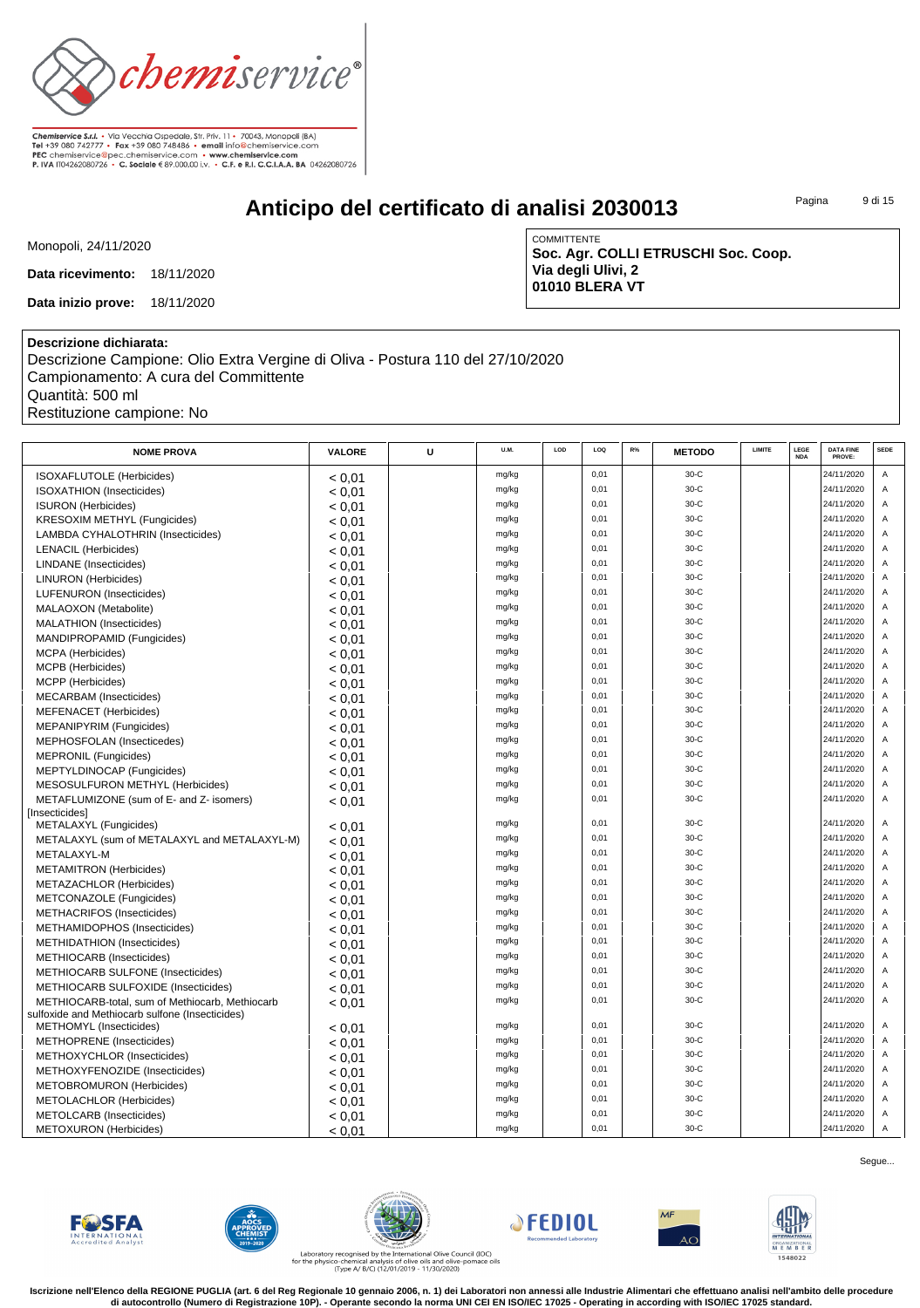

# **Anticipo del certificato di analisi 2030013**

Pagina 9 di 15

Monopoli, 24/11/2020

**Data ricevimento:** 18/11/2020

**Data inizio prove:** 18/11/2020

COMMITTENTE **Soc. Agr. COLLI ETRUSCHI Soc. Coop. Via degli Ulivi, 2 01010 BLERA VT**

### **Descrizione dichiarata:**

Descrizione Campione: Olio Extra Vergine di Oliva - Postura 110 del 27/10/2020 Campionamento: A cura del Committente Quantità: 500 ml Restituzione campione: No

| <b>NOME PROVA</b>                                                                                  | VALORE | U | <b>U.M.</b> | LOD | LOQ  | R% | <b>METODO</b> | LIMITE | LEGE<br><b>NDA</b> | <b>DATA FINE</b><br>PROVE: | <b>SEDE</b>    |
|----------------------------------------------------------------------------------------------------|--------|---|-------------|-----|------|----|---------------|--------|--------------------|----------------------------|----------------|
| ISOXAFLUTOLE (Herbicides)                                                                          | < 0.01 |   | mg/kg       |     | 0,01 |    | $30-C$        |        |                    | 24/11/2020                 | Α              |
| <b>ISOXATHION</b> (Insecticides)                                                                   | < 0.01 |   | mg/kg       |     | 0,01 |    | $30-C$        |        |                    | 24/11/2020                 | $\overline{A}$ |
| <b>ISURON</b> (Herbicides)                                                                         | < 0.01 |   | mg/kg       |     | 0,01 |    | $30-C$        |        |                    | 24/11/2020                 | A              |
| <b>KRESOXIM METHYL (Fungicides)</b>                                                                | < 0,01 |   | mg/kg       |     | 0,01 |    | $30-C$        |        |                    | 24/11/2020                 | $\overline{A}$ |
| LAMBDA CYHALOTHRIN (Insecticides)                                                                  | < 0.01 |   | mg/kg       |     | 0,01 |    | $30-C$        |        |                    | 24/11/2020                 | Α              |
| <b>LENACIL (Herbicides)</b>                                                                        | < 0.01 |   | mg/kg       |     | 0,01 |    | $30-C$        |        |                    | 24/11/2020                 | A              |
| <b>LINDANE</b> (Insecticides)                                                                      | < 0.01 |   | mg/kg       |     | 0,01 |    | $30-C$        |        |                    | 24/11/2020                 | A              |
| <b>LINURON</b> (Herbicides)                                                                        | < 0.01 |   | mg/kg       |     | 0,01 |    | $30-C$        |        |                    | 24/11/2020                 | A              |
| LUFENURON (Insecticides)                                                                           | < 0.01 |   | mg/kg       |     | 0.01 |    | $30-C$        |        |                    | 24/11/2020                 | $\overline{A}$ |
| MALAOXON (Metabolite)                                                                              | < 0.01 |   | mg/kg       |     | 0.01 |    | $30-C$        |        |                    | 24/11/2020                 | A              |
| MALATHION (Insecticides)                                                                           | < 0.01 |   | mg/kg       |     | 0,01 |    | $30-C$        |        |                    | 24/11/2020                 | A              |
| MANDIPROPAMID (Fungicides)                                                                         | < 0.01 |   | mg/kg       |     | 0,01 |    | $30-C$        |        |                    | 24/11/2020                 | Α              |
| <b>MCPA</b> (Herbicides)                                                                           | < 0.01 |   | mg/kg       |     | 0,01 |    | $30-C$        |        |                    | 24/11/2020                 | A              |
| MCPB (Herbicides)                                                                                  | < 0.01 |   | mg/kg       |     | 0,01 |    | $30-C$        |        |                    | 24/11/2020                 | A              |
| MCPP (Herbicides)                                                                                  | < 0.01 |   | mg/kg       |     | 0,01 |    | $30-C$        |        |                    | 24/11/2020                 | A              |
| <b>MECARBAM</b> (Insecticides)                                                                     | < 0.01 |   | mg/kg       |     | 0.01 |    | $30-C$        |        |                    | 24/11/2020                 | $\overline{A}$ |
| <b>MEFENACET</b> (Herbicides)                                                                      | < 0.01 |   | mg/kg       |     | 0,01 |    | $30-C$        |        |                    | 24/11/2020                 | Α              |
| MEPANIPYRIM (Fungicides)                                                                           | < 0.01 |   | mg/kg       |     | 0,01 |    | $30-C$        |        |                    | 24/11/2020                 | A              |
| MEPHOSFOLAN (Insecticedes)                                                                         | < 0.01 |   | mg/kg       |     | 0,01 |    | $30-C$        |        |                    | 24/11/2020                 | A              |
| <b>MEPRONIL (Fungicides)</b>                                                                       | < 0.01 |   | mg/kg       |     | 0,01 |    | $30-C$        |        |                    | 24/11/2020                 | A              |
| MEPTYLDINOCAP (Fungicides)                                                                         | < 0.01 |   | mg/kg       |     | 0,01 |    | $30-C$        |        |                    | 24/11/2020                 | A              |
| MESOSULFURON METHYL (Herbicides)                                                                   | < 0.01 |   | mg/kg       |     | 0,01 |    | $30-C$        |        |                    | 24/11/2020                 | $\mathsf A$    |
| METAFLUMIZONE (sum of E- and Z- isomers)                                                           | < 0.01 |   | mg/kg       |     | 0,01 |    | $30-C$        |        |                    | 24/11/2020                 | A              |
| [Insecticides]                                                                                     |        |   |             |     |      |    |               |        |                    |                            |                |
| METALAXYL (Fungicides)                                                                             | < 0.01 |   | mg/kg       |     | 0,01 |    | $30-C$        |        |                    | 24/11/2020                 | Α              |
| METALAXYL (sum of METALAXYL and METALAXYL-M)                                                       | < 0.01 |   | mg/kg       |     | 0.01 |    | $30-C$        |        |                    | 24/11/2020                 | $\overline{A}$ |
| METALAXYL-M                                                                                        | < 0.01 |   | mg/kg       |     | 0,01 |    | $30-C$        |        |                    | 24/11/2020                 | $\overline{A}$ |
| <b>METAMITRON</b> (Herbicides)                                                                     | < 0.01 |   | mg/kg       |     | 0,01 |    | $30-C$        |        |                    | 24/11/2020                 | A              |
| METAZACHLOR (Herbicides)                                                                           | < 0.01 |   | mg/kg       |     | 0,01 |    | $30-C$        |        |                    | 24/11/2020                 | A              |
| METCONAZOLE (Fungicides)                                                                           | < 0.01 |   | mg/kg       |     | 0,01 |    | $30-C$        |        |                    | 24/11/2020                 | Α              |
| METHACRIFOS (Insecticides)                                                                         | < 0.01 |   | mg/kg       |     | 0,01 |    | $30-C$        |        |                    | 24/11/2020                 | A              |
| METHAMIDOPHOS (Insecticides)                                                                       | < 0.01 |   | mg/kg       |     | 0,01 |    | $30-C$        |        |                    | 24/11/2020                 | A              |
| METHIDATHION (Insecticides)                                                                        | < 0.01 |   | mg/kg       |     | 0.01 |    | $30-C$        |        |                    | 24/11/2020                 | $\overline{A}$ |
| METHIOCARB (Insecticides)                                                                          | < 0.01 |   | mg/kg       |     | 0.01 |    | $30-C$        |        |                    | 24/11/2020                 | $\overline{A}$ |
| METHIOCARB SULFONE (Insecticides)                                                                  | < 0.01 |   | mg/kg       |     | 0,01 |    | $30-C$        |        |                    | 24/11/2020                 | Α              |
| METHIOCARB SULFOXIDE (Insecticides)                                                                | < 0.01 |   | mg/kg       |     | 0,01 |    | $30-C$        |        |                    | 24/11/2020                 | A              |
| METHIOCARB-total, sum of Methiocarb, Methiocarb<br>sulfoxide and Methiocarb sulfone (Insecticides) | < 0.01 |   | mg/kg       |     | 0.01 |    | $30-C$        |        |                    | 24/11/2020                 | $\overline{A}$ |
| METHOMYL (Insecticides)                                                                            | < 0.01 |   | mg/kg       |     | 0,01 |    | $30-C$        |        |                    | 24/11/2020                 | Α              |
| METHOPRENE (Insecticides)                                                                          | < 0.01 |   | mg/kg       |     | 0.01 |    | $30-C$        |        |                    | 24/11/2020                 | $\overline{A}$ |
| METHOXYCHLOR (Insecticides)                                                                        | < 0,01 |   | mg/kg       |     | 0,01 |    | $30-C$        |        |                    | 24/11/2020                 | A              |
| METHOXYFENOZIDE (Insecticides)                                                                     | < 0.01 |   | mg/kg       |     | 0,01 |    | $30-C$        |        |                    | 24/11/2020                 | A              |
| METOBROMURON (Herbicides)                                                                          | < 0.01 |   | mg/kg       |     | 0,01 |    | $30-C$        |        |                    | 24/11/2020                 | A              |
| <b>METOLACHLOR (Herbicides)</b>                                                                    | < 0.01 |   | mg/kg       |     | 0.01 |    | $30-C$        |        |                    | 24/11/2020                 | $\overline{A}$ |
| METOLCARB (Insecticides)                                                                           | < 0.01 |   | mg/kg       |     | 0,01 |    | $30-C$        |        |                    | 24/11/2020                 | A              |
| <b>METOXURON</b> (Herbicides)                                                                      | < 0.01 |   | mg/kg       |     | 0,01 |    | $30-C$        |        |                    | 24/11/2020                 | $\overline{A}$ |













Laboratory recognised by the International Olive Council (IOC)<br>for the physico-chemical analysis of olive oils and olive-pomace oils<br>(Type A/ B/C) (12/01/2019 - 11/30/2020)

**Iscrizione nell'Elenco della REGIONE PUGLIA (art. 6 del Reg Regionale 10 gennaio 2006, n. 1) dei Laboratori non annessi alle Industrie Alimentari che effettuano analisi nell'ambito delle procedure di autocontrollo (Numero di Registrazione 10P). - Operante secondo la norma UNI CEI EN ISO/IEC 17025 - Operating in according with ISO/IEC 17025 standard.**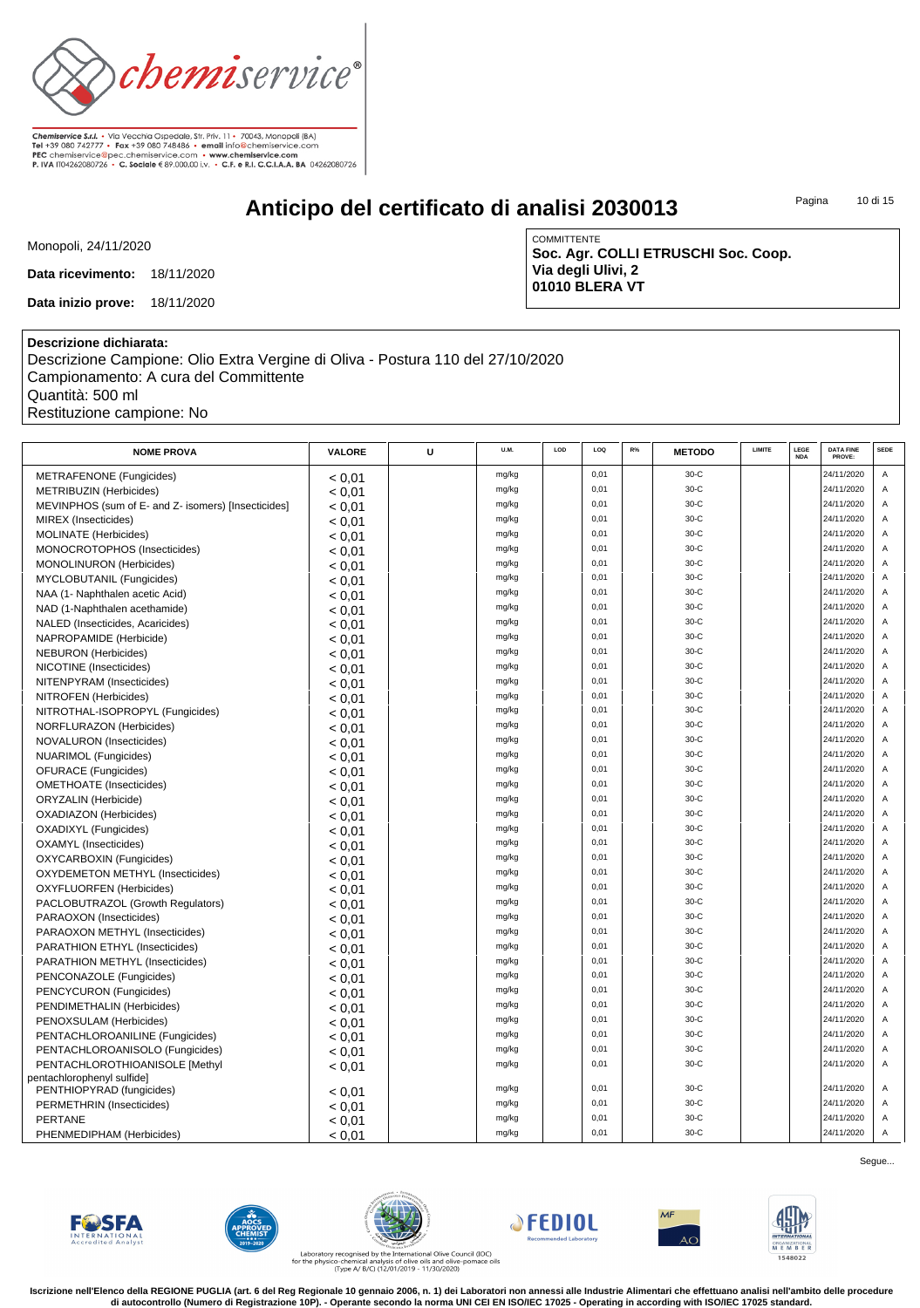

# **Anticipo del certificato di analisi 2030013**

Pagina 10 di 15

Monopoli, 24/11/2020

**Data ricevimento:** 18/11/2020

**Data inizio prove:** 18/11/2020

COMMITTENTE **Soc. Agr. COLLI ETRUSCHI Soc. Coop. Via degli Ulivi, 2 01010 BLERA VT**

#### **Descrizione dichiarata:**

Descrizione Campione: Olio Extra Vergine di Oliva - Postura 110 del 27/10/2020 Campionamento: A cura del Committente Quantità: 500 ml Restituzione campione: No

| <b>NOME PROVA</b>                                   | <b>VALORE</b> | U | U.M.  | LOD | LOQ  | R% | <b>METODO</b> | <b>LIMITE</b> | LEGE<br><b>NDA</b> | <b>DATA FINE</b><br>PROVE: | <b>SEDE</b>    |
|-----------------------------------------------------|---------------|---|-------|-----|------|----|---------------|---------------|--------------------|----------------------------|----------------|
| METRAFENONE (Fungicides)                            | < 0.01        |   | mg/kg |     | 0,01 |    | $30-C$        |               |                    | 24/11/2020                 | Α              |
| <b>METRIBUZIN (Herbicides)</b>                      | < 0.01        |   | mg/kg |     | 0,01 |    | $30-C$        |               |                    | 24/11/2020                 | A              |
| MEVINPHOS (sum of E- and Z- isomers) [Insecticides] | < 0.01        |   | mg/kg |     | 0,01 |    | $30-C$        |               |                    | 24/11/2020                 | A              |
| <b>MIREX</b> (Insecticides)                         | < 0.01        |   | mg/kg |     | 0,01 |    | $30-C$        |               |                    | 24/11/2020                 | $\overline{A}$ |
| <b>MOLINATE</b> (Herbicides)                        | < 0.01        |   | mg/kg |     | 0,01 |    | $30-C$        |               |                    | 24/11/2020                 | $\overline{A}$ |
| MONOCROTOPHOS (Insecticides)                        | < 0.01        |   | mg/kg |     | 0,01 |    | $30-C$        |               |                    | 24/11/2020                 | A              |
| MONOLINURON (Herbicides)                            | < 0.01        |   | mg/kg |     | 0,01 |    | $30-C$        |               |                    | 24/11/2020                 | $\overline{A}$ |
| MYCLOBUTANIL (Fungicides)                           | < 0.01        |   | mg/kg |     | 0,01 |    | $30-C$        |               |                    | 24/11/2020                 | A              |
| NAA (1- Naphthalen acetic Acid)                     | < 0.01        |   | mg/kg |     | 0.01 |    | $30-C$        |               |                    | 24/11/2020                 | $\overline{A}$ |
| NAD (1-Naphthalen acethamide)                       | < 0.01        |   | mg/kg |     | 0,01 |    | $30-C$        |               |                    | 24/11/2020                 | Α              |
| NALED (Insecticides, Acaricides)                    | < 0.01        |   | mg/kg |     | 0,01 |    | $30-C$        |               |                    | 24/11/2020                 | A              |
| NAPROPAMIDE (Herbicide)                             | < 0.01        |   | mg/kg |     | 0,01 |    | $30-C$        |               |                    | 24/11/2020                 | A              |
| <b>NEBURON</b> (Herbicides)                         | < 0.01        |   | mg/kg |     | 0,01 |    | $30-C$        |               |                    | 24/11/2020                 | A              |
| NICOTINE (Insecticides)                             | < 0.01        |   | mg/kg |     | 0,01 |    | $30-C$        |               |                    | 24/11/2020                 | $\overline{A}$ |
| NITENPYRAM (Insecticides)                           | < 0.01        |   | mg/kg |     | 0,01 |    | $30-C$        |               |                    | 24/11/2020                 | A              |
| NITROFEN (Herbicides)                               | < 0.01        |   | mg/kg |     | 0,01 |    | $30-C$        |               |                    | 24/11/2020                 | $\overline{A}$ |
| NITROTHAL-ISOPROPYL (Fungicides)                    | < 0.01        |   | mg/kg |     | 0,01 |    | $30-C$        |               |                    | 24/11/2020                 | $\overline{A}$ |
| NORFLURAZON (Herbicides)                            | < 0.01        |   | mg/kg |     | 0,01 |    | $30-C$        |               |                    | 24/11/2020                 | $\overline{A}$ |
| NOVALURON (Insecticides)                            | < 0.01        |   | mg/kg |     | 0,01 |    | $30-C$        |               |                    | 24/11/2020                 | A              |
| NUARIMOL (Fungicides)                               | < 0.01        |   | mg/kg |     | 0,01 |    | $30-C$        |               |                    | 24/11/2020                 | A              |
| <b>OFURACE</b> (Fungicides)                         | < 0.01        |   | mg/kg |     | 0,01 |    | $30-C$        |               |                    | 24/11/2020                 | $\overline{A}$ |
| <b>OMETHOATE</b> (Insecticides)                     | < 0.01        |   | mg/kg |     | 0,01 |    | $30-C$        |               |                    | 24/11/2020                 | A              |
| <b>ORYZALIN</b> (Herbicide)                         | < 0.01        |   | mg/kg |     | 0,01 |    | $30-C$        |               |                    | 24/11/2020                 | $\overline{A}$ |
| OXADIAZON (Herbicides)                              | < 0.01        |   | mg/kg |     | 0,01 |    | $30-C$        |               |                    | 24/11/2020                 | Α              |
| <b>OXADIXYL</b> (Fungicides)                        | < 0.01        |   | mg/kg |     | 0,01 |    | $30-C$        |               |                    | 24/11/2020                 | A              |
| <b>OXAMYL</b> (Insecticides)                        | < 0.01        |   | mg/kg |     | 0.01 |    | $30-C$        |               |                    | 24/11/2020                 | $\overline{A}$ |
| OXYCARBOXIN (Fungicides)                            | < 0.01        |   | mg/kg |     | 0,01 |    | $30-C$        |               |                    | 24/11/2020                 | A              |
| OXYDEMETON METHYL (Insecticides)                    | < 0.01        |   | mg/kg |     | 0,01 |    | $30-C$        |               |                    | 24/11/2020                 | A              |
| <b>OXYFLUORFEN (Herbicides)</b>                     | < 0.01        |   | mg/kg |     | 0,01 |    | $30-C$        |               |                    | 24/11/2020                 | $\Delta$       |
| PACLOBUTRAZOL (Growth Regulators)                   | < 0.01        |   | mg/kg |     | 0,01 |    | $30-C$        |               |                    | 24/11/2020                 | A              |
| PARAOXON (Insecticides)                             | < 0.01        |   | mg/kg |     | 0,01 |    | $30-C$        |               |                    | 24/11/2020                 | A              |
| PARAOXON METHYL (Insecticides)                      | < 0.01        |   | mg/kg |     | 0,01 |    | $30-C$        |               |                    | 24/11/2020                 | $\overline{A}$ |
| PARATHION ETHYL (Insecticides)                      | < 0.01        |   | mg/kg |     | 0,01 |    | $30-C$        |               |                    | 24/11/2020                 | Α              |
| PARATHION METHYL (Insecticides)                     | < 0.01        |   | mg/kg |     | 0,01 |    | $30-C$        |               |                    | 24/11/2020                 | A              |
| PENCONAZOLE (Fungicides)                            | < 0.01        |   | mg/kg |     | 0,01 |    | $30-C$        |               |                    | 24/11/2020                 | $\overline{A}$ |
| PENCYCURON (Fungicides)                             | < 0.01        |   | mg/kg |     | 0,01 |    | $30-C$        |               |                    | 24/11/2020                 | A              |
| PENDIMETHALIN (Herbicides)                          | < 0.01        |   | mg/kg |     | 0,01 |    | $30-C$        |               |                    | 24/11/2020                 | A              |
| PENOXSULAM (Herbicides)                             | < 0.01        |   | mg/kg |     | 0,01 |    | $30-C$        |               |                    | 24/11/2020                 | $\overline{A}$ |
| PENTACHLOROANILINE (Fungicides)                     | < 0.01        |   | mg/kg |     | 0,01 |    | 30-C          |               |                    | 24/11/2020                 | A              |
| PENTACHLOROANISOLO (Fungicides)                     | < 0.01        |   | mg/kg |     | 0,01 |    | $30-C$        |               |                    | 24/11/2020                 | A              |
| PENTACHLOROTHIOANISOLE [Methyl                      | < 0.01        |   | mg/kg |     | 0,01 |    | $30-C$        |               |                    | 24/11/2020                 | $\overline{A}$ |
| pentachlorophenyl sulfide]                          |               |   |       |     |      |    |               |               |                    |                            |                |
| PENTHIOPYRAD (fungicides)                           | < 0.01        |   | mg/kg |     | 0,01 |    | $30-C$        |               |                    | 24/11/2020                 | A              |
| PERMETHRIN (Insecticides)                           | < 0.01        |   | mg/kg |     | 0,01 |    | $30-C$        |               |                    | 24/11/2020                 | Α              |
| <b>PERTANE</b>                                      | < 0.01        |   | mg/kg |     | 0,01 |    | $30-C$        |               |                    | 24/11/2020                 | Α              |
| PHENMEDIPHAM (Herbicides)                           | < 0.01        |   | mg/kg |     | 0,01 |    | $30-C$        |               |                    | 24/11/2020                 | $\overline{A}$ |













Segue...

Laboratory recognised by the International Olive Council (IOC)<br>for the physico-chemical analysis of olive oils and olive-pomace oils<br>(Type A/ B/C) (12/01/2019 - 11/30/2020)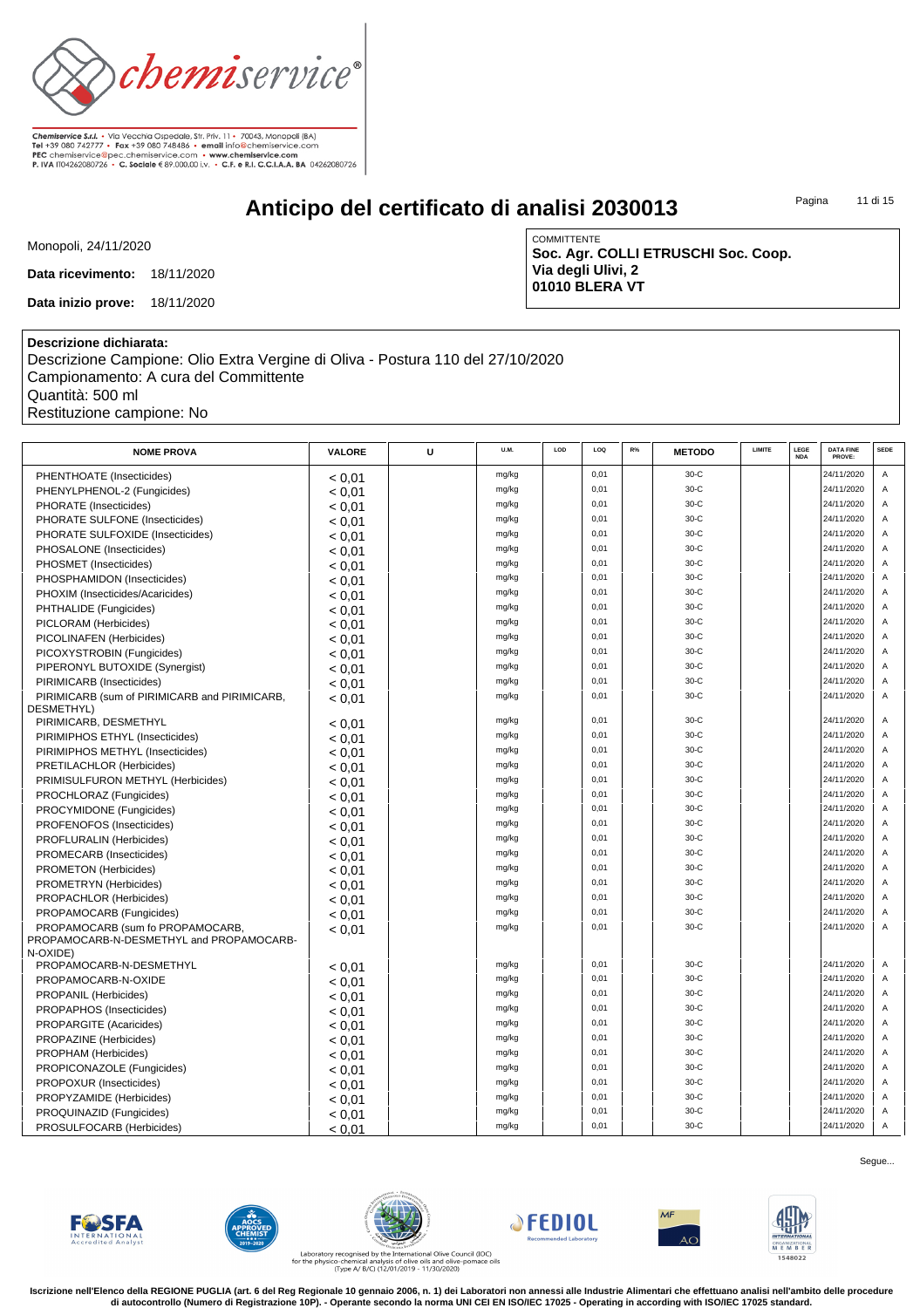

# **Anticipo del certificato di analisi 2030013**

Pagina 11 di 15

Monopoli, 24/11/2020

**Data ricevimento:** 18/11/2020

**Data inizio prove:** 18/11/2020

COMMITTENTE **Soc. Agr. COLLI ETRUSCHI Soc. Coop. Via degli Ulivi, 2 01010 BLERA VT**

### **Descrizione dichiarata:**

Descrizione Campione: Olio Extra Vergine di Oliva - Postura 110 del 27/10/2020 Campionamento: A cura del Committente Quantità: 500 ml Restituzione campione: No

| <b>NOME PROVA</b>                             | VALORE | U | U.M.  | LOD | LOQ  | $R\%$ | <b>METODO</b> | LIMITE | LEGE<br><b>NDA</b> | <b>DATA FINE</b><br>PROVE: | <b>SEDE</b>    |
|-----------------------------------------------|--------|---|-------|-----|------|-------|---------------|--------|--------------------|----------------------------|----------------|
| PHENTHOATE (Insecticides)                     | < 0.01 |   | mg/kg |     | 0,01 |       | $30-C$        |        |                    | 24/11/2020                 | Α              |
| PHENYLPHENOL-2 (Fungicides)                   | < 0.01 |   | mg/kg |     | 0,01 |       | 30-C          |        |                    | 24/11/2020                 | Α              |
| PHORATE (Insecticides)                        | < 0.01 |   | mg/kg |     | 0,01 |       | 30-C          |        |                    | 24/11/2020                 | Α              |
| PHORATE SULFONE (Insecticides)                | < 0.01 |   | mg/kg |     | 0,01 |       | 30-C          |        |                    | 24/11/2020                 | Α              |
| PHORATE SULFOXIDE (Insecticides)              | < 0.01 |   | mg/kg |     | 0,01 |       | $30-C$        |        |                    | 24/11/2020                 | Α              |
| PHOSALONE (Insecticides)                      | < 0.01 |   | mg/kg |     | 0,01 |       | 30-C          |        |                    | 24/11/2020                 | Α              |
| PHOSMET (Insecticides)                        | < 0.01 |   | mg/kg |     | 0,01 |       | 30-C          |        |                    | 24/11/2020                 | Α              |
| PHOSPHAMIDON (Insecticides)                   | < 0.01 |   | mg/kg |     | 0,01 |       | 30-C          |        |                    | 24/11/2020                 | Α              |
| PHOXIM (Insecticides/Acaricides)              | < 0.01 |   | mg/kg |     | 0,01 |       | 30-C          |        |                    | 24/11/2020                 | Α              |
| PHTHALIDE (Fungicides)                        | < 0.01 |   | mg/kg |     | 0,01 |       | $30-C$        |        |                    | 24/11/2020                 | Α              |
| PICLORAM (Herbicides)                         | < 0.01 |   | mg/kg |     | 0,01 |       | $30-C$        |        |                    | 24/11/2020                 | Α              |
| PICOLINAFEN (Herbicides)                      | < 0.01 |   | mg/kg |     | 0,01 |       | 30-C          |        |                    | 24/11/2020                 | Α              |
| PICOXYSTROBIN (Fungicides)                    | < 0.01 |   | mg/kg |     | 0,01 |       | 30-C          |        |                    | 24/11/2020                 | Α              |
| PIPERONYL BUTOXIDE (Synergist)                | < 0.01 |   | mg/kg |     | 0,01 |       | $30-C$        |        |                    | 24/11/2020                 | A              |
| PIRIMICARB (Insecticides)                     | < 0.01 |   | mg/kg |     | 0,01 |       | 30-C          |        |                    | 24/11/2020                 | Α              |
| PIRIMICARB (sum of PIRIMICARB and PIRIMICARB, | < 0.01 |   | mg/kg |     | 0,01 |       | 30-C          |        |                    | 24/11/2020                 | A              |
| DESMETHYL)                                    |        |   |       |     |      |       |               |        |                    |                            |                |
| PIRIMICARB, DESMETHYL                         | < 0.01 |   | mg/kg |     | 0,01 |       | 30-C          |        |                    | 24/11/2020                 | Α              |
| PIRIMIPHOS ETHYL (Insecticides)               | < 0.01 |   | mg/kg |     | 0,01 |       | 30-C          |        |                    | 24/11/2020                 | Α              |
| PIRIMIPHOS METHYL (Insecticides)              | < 0.01 |   | mg/kg |     | 0,01 |       | $30-C$        |        |                    | 24/11/2020                 | A              |
| PRETILACHLOR (Herbicides)                     | < 0.01 |   | mg/kg |     | 0,01 |       | 30-C          |        |                    | 24/11/2020                 | Α              |
| PRIMISULFURON METHYL (Herbicides)             | < 0,01 |   | mg/kg |     | 0,01 |       | 30-C          |        |                    | 24/11/2020                 | A              |
| PROCHLORAZ (Fungicides)                       | < 0.01 |   | mg/kg |     | 0,01 |       | 30-C          |        |                    | 24/11/2020                 | A              |
| PROCYMIDONE (Fungicides)                      | < 0.01 |   | mg/kg |     | 0,01 |       | 30-C          |        |                    | 24/11/2020                 | Α              |
| PROFENOFOS (Insecticides)                     | < 0.01 |   | mg/kg |     | 0,01 |       | 30-C          |        |                    | 24/11/2020                 | Α              |
| PROFLURALIN (Herbicides)                      | < 0.01 |   | mg/kg |     | 0,01 |       | $30-C$        |        |                    | 24/11/2020                 | Α              |
| PROMECARB (Insecticides)                      | < 0.01 |   | mg/kg |     | 0,01 |       | $30-C$        |        |                    | 24/11/2020                 | A              |
| PROMETON (Herbicides)                         | < 0.01 |   | mg/kg |     | 0,01 |       | 30-C          |        |                    | 24/11/2020                 | A              |
| PROMETRYN (Herbicides)                        | < 0.01 |   | mg/kg |     | 0,01 |       | 30-C          |        |                    | 24/11/2020                 | A              |
| PROPACHLOR (Herbicides)                       | < 0.01 |   | mg/kg |     | 0,01 |       | $30-C$        |        |                    | 24/11/2020                 | Α              |
| PROPAMOCARB (Fungicides)                      | < 0.01 |   | mg/kg |     | 0,01 |       | $30-C$        |        |                    | 24/11/2020                 | A              |
| PROPAMOCARB (sum fo PROPAMOCARB,              | < 0.01 |   | mg/kg |     | 0,01 |       | $30-C$        |        |                    | 24/11/2020                 | $\overline{A}$ |
| PROPAMOCARB-N-DESMETHYL and PROPAMOCARB-      |        |   |       |     |      |       |               |        |                    |                            |                |
| N-OXIDE)                                      |        |   |       |     |      |       |               |        |                    |                            |                |
| PROPAMOCARB-N-DESMETHYL                       | < 0.01 |   | mg/kg |     | 0,01 |       | $30-C$        |        |                    | 24/11/2020                 | A              |
| PROPAMOCARB-N-OXIDE                           | < 0.01 |   | mg/kg |     | 0,01 |       | $30-C$        |        |                    | 24/11/2020                 | Α              |
| PROPANIL (Herbicides)                         | < 0.01 |   | mg/kg |     | 0,01 |       | 30-C          |        |                    | 24/11/2020                 | A              |
| PROPAPHOS (Insecticides)                      | < 0.01 |   | mg/kg |     | 0,01 |       | $30-C$        |        |                    | 24/11/2020                 | $\overline{A}$ |
| <b>PROPARGITE (Acaricides)</b>                | < 0.01 |   | mg/kg |     | 0,01 |       | $30-C$        |        |                    | 24/11/2020                 | $\overline{A}$ |
| PROPAZINE (Herbicides)                        | < 0.01 |   | mg/kg |     | 0,01 |       | $30-C$        |        |                    | 24/11/2020                 | A              |
| PROPHAM (Herbicides)                          | < 0.01 |   | mg/kg |     | 0,01 |       | $30-C$        |        |                    | 24/11/2020                 | A              |
| PROPICONAZOLE (Fungicides)                    | < 0.01 |   | mg/kg |     | 0,01 |       | $30-C$        |        |                    | 24/11/2020                 | $\overline{A}$ |
| PROPOXUR (Insecticides)                       | < 0.01 |   | mg/kg |     | 0,01 |       | $30-C$        |        |                    | 24/11/2020                 | A              |
| PROPYZAMIDE (Herbicides)                      | < 0.01 |   | mg/kg |     | 0,01 |       | $30-C$        |        |                    | 24/11/2020                 | $\overline{A}$ |
| PROQUINAZID (Fungicides)                      | < 0.01 |   | mg/kg |     | 0,01 |       | $30-C$        |        |                    | 24/11/2020                 | Α              |
| PROSULFOCARB (Herbicides)                     | < 0.01 |   | mg/kg |     | 0,01 |       | $30-C$        |        |                    | 24/11/2020                 | A              |













Laboratory recognised by the International Olive Council (IOC)<br>for the physico-chemical analysis of olive oils and olive-pomace oils<br>(Type A/ B/C) (12/01/2019 - 11/30/2020)

**Iscrizione nell'Elenco della REGIONE PUGLIA (art. 6 del Reg Regionale 10 gennaio 2006, n. 1) dei Laboratori non annessi alle Industrie Alimentari che effettuano analisi nell'ambito delle procedure di autocontrollo (Numero di Registrazione 10P). - Operante secondo la norma UNI CEI EN ISO/IEC 17025 - Operating in according with ISO/IEC 17025 standard.**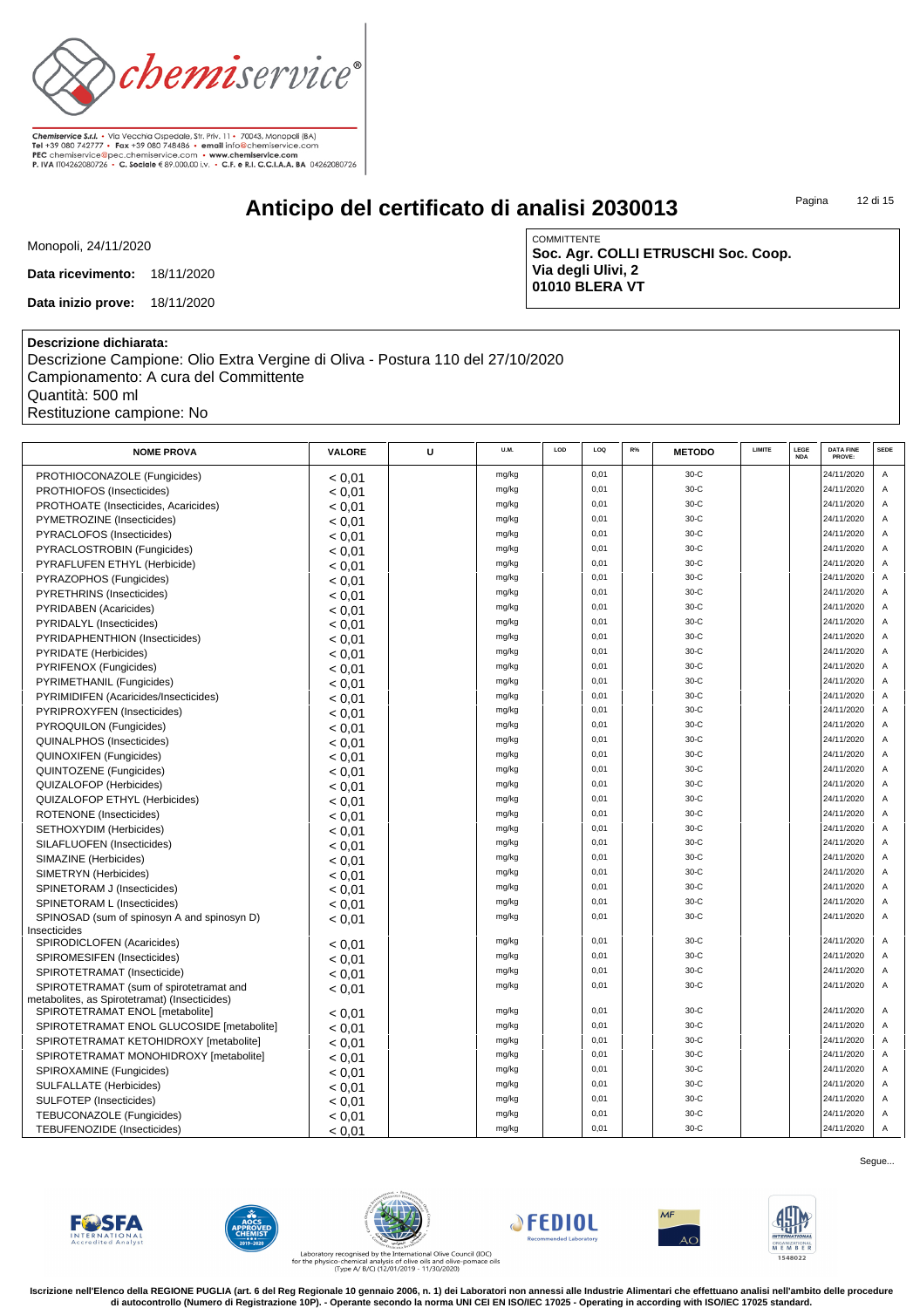

# **Anticipo del certificato di analisi 2030013**

Pagina 12 di 15

Monopoli, 24/11/2020

**Data ricevimento:** 18/11/2020

**Data inizio prove:** 18/11/2020

COMMITTENTE **Soc. Agr. COLLI ETRUSCHI Soc. Coop. Via degli Ulivi, 2 01010 BLERA VT**

### **Descrizione dichiarata:**

Descrizione Campione: Olio Extra Vergine di Oliva - Postura 110 del 27/10/2020 Campionamento: A cura del Committente Quantità: 500 ml Restituzione campione: No

| <b>NOME PROVA</b>                                               | <b>VALORE</b> | U | U.M.  | LOD | LOQ  | R% | <b>METODO</b> | LIMITE | LEGE<br><b>NDA</b> | <b>DATA FINE</b><br>PROVE: | <b>SEDE</b>    |
|-----------------------------------------------------------------|---------------|---|-------|-----|------|----|---------------|--------|--------------------|----------------------------|----------------|
| PROTHIOCONAZOLE (Fungicides)                                    | < 0.01        |   | mg/kg |     | 0,01 |    | $30-C$        |        |                    | 24/11/2020                 | Α              |
| PROTHIOFOS (Insecticides)                                       | < 0.01        |   | mg/kg |     | 0,01 |    | 30-C          |        |                    | 24/11/2020                 | A              |
| PROTHOATE (Insecticides, Acaricides)                            | < 0.01        |   | mg/kg |     | 0.01 |    | $30-C$        |        |                    | 24/11/2020                 | $\overline{A}$ |
| PYMETROZINE (Insecticides)                                      | < 0.01        |   | mg/kg |     | 0,01 |    | $30-C$        |        |                    | 24/11/2020                 | A              |
| PYRACLOFOS (Insecticides)                                       | < 0.01        |   | mg/kg |     | 0,01 |    | $30-C$        |        |                    | 24/11/2020                 | $\mathsf A$    |
| PYRACLOSTROBIN (Fungicides)                                     | < 0.01        |   | mg/kg |     | 0,01 |    | $30-C$        |        |                    | 24/11/2020                 | A              |
| PYRAFLUFEN ETHYL (Herbicide)                                    | < 0.01        |   | mg/kg |     | 0,01 |    | $30-C$        |        |                    | 24/11/2020                 | $\overline{A}$ |
| PYRAZOPHOS (Fungicides)                                         | < 0.01        |   | mg/kg |     | 0,01 |    | $30-C$        |        |                    | 24/11/2020                 | A              |
| PYRETHRINS (Insecticides)                                       | < 0.01        |   | mg/kg |     | 0,01 |    | $30-C$        |        |                    | 24/11/2020                 | A              |
| PYRIDABEN (Acaricides)                                          | < 0.01        |   | mg/kg |     | 0.01 |    | $30-C$        |        |                    | 24/11/2020                 | $\overline{A}$ |
| PYRIDALYL (Insecticides)                                        | < 0.01        |   | mg/kg |     | 0,01 |    | $30-C$        |        |                    | 24/11/2020                 | A              |
| PYRIDAPHENTHION (Insecticides)                                  | < 0.01        |   | mg/kg |     | 0,01 |    | $30-C$        |        |                    | 24/11/2020                 | $\mathsf A$    |
| PYRIDATE (Herbicides)                                           | < 0.01        |   | mg/kg |     | 0,01 |    | $30-C$        |        |                    | 24/11/2020                 | A              |
| PYRIFENOX (Fungicides)                                          | < 0.01        |   | mg/kg |     | 0,01 |    | $30-C$        |        |                    | 24/11/2020                 | $\overline{A}$ |
| PYRIMETHANIL (Fungicides)                                       | < 0.01        |   | mg/kg |     | 0,01 |    | $30-C$        |        |                    | 24/11/2020                 | A              |
| PYRIMIDIFEN (Acaricides/Insecticides)                           | < 0.01        |   | mg/kg |     | 0,01 |    | 30-C          |        |                    | 24/11/2020                 | A              |
| PYRIPROXYFEN (Insecticides)                                     | < 0.01        |   | mg/kg |     | 0,01 |    | $30-C$        |        |                    | 24/11/2020                 | $\overline{A}$ |
| PYROQUILON (Fungicides)                                         | < 0.01        |   | mg/kg |     | 0,01 |    | $30-C$        |        |                    | 24/11/2020                 | $\overline{A}$ |
| QUINALPHOS (Insecticides)                                       |               |   | mg/kg |     | 0,01 |    | $30-C$        |        |                    | 24/11/2020                 | $\mathsf A$    |
| <b>QUINOXIFEN (Fungicides)</b>                                  | < 0.01        |   | mg/kg |     | 0,01 |    | $30-C$        |        |                    | 24/11/2020                 | A              |
| QUINTOZENE (Fungicides)                                         | < 0.01        |   | mg/kg |     | 0,01 |    | $30-C$        |        |                    | 24/11/2020                 | $\overline{A}$ |
|                                                                 | < 0.01        |   | mg/kg |     | 0,01 |    | $30-C$        |        |                    | 24/11/2020                 | A              |
| QUIZALOFOP (Herbicides)<br><b>QUIZALOFOP ETHYL (Herbicides)</b> | < 0.01        |   | mg/kg |     | 0,01 |    | 30-C          |        |                    | 24/11/2020                 | $\overline{A}$ |
|                                                                 | < 0.01        |   | mg/kg |     | 0.01 |    | $30-C$        |        |                    | 24/11/2020                 | $\overline{A}$ |
| ROTENONE (Insecticides)                                         | < 0.01        |   | mg/kg |     | 0,01 |    | $30-C$        |        |                    | 24/11/2020                 | A              |
| SETHOXYDIM (Herbicides)                                         | < 0.01        |   | mg/kg |     | 0,01 |    | $30-C$        |        |                    | 24/11/2020                 | A              |
| SILAFLUOFEN (Insecticides)                                      | < 0.01        |   |       |     | 0,01 |    | $30-C$        |        |                    | 24/11/2020                 | A              |
| SIMAZINE (Herbicides)                                           | < 0.01        |   | mg/kg |     | 0,01 |    | $30-C$        |        |                    | 24/11/2020                 | $\overline{A}$ |
| SIMETRYN (Herbicides)                                           | < 0.01        |   | mg/kg |     | 0,01 |    | $30-C$        |        |                    | 24/11/2020                 | A              |
| SPINETORAM J (Insecticides)                                     | < 0.01        |   | mg/kg |     | 0,01 |    | 30-C          |        |                    | 24/11/2020                 | $\mathsf A$    |
| SPINETORAM L (Insecticides)                                     | < 0.01        |   | mg/kg |     | 0.01 |    | $30-C$        |        |                    | 24/11/2020                 | $\overline{A}$ |
| SPINOSAD (sum of spinosyn A and spinosyn D)<br>Insecticides     | < 0.01        |   | mg/kg |     |      |    |               |        |                    |                            |                |
| SPIRODICLOFEN (Acaricides)                                      | < 0.01        |   | mg/kg |     | 0,01 |    | 30-C          |        |                    | 24/11/2020                 | A              |
| SPIROMESIFEN (Insecticides)                                     | < 0.01        |   | mg/kg |     | 0,01 |    | $30-C$        |        |                    | 24/11/2020                 | A              |
| SPIROTETRAMAT (Insecticide)                                     | < 0.01        |   | mg/kg |     | 0,01 |    | $30-C$        |        |                    | 24/11/2020                 | A              |
| SPIROTETRAMAT (sum of spirotetramat and                         | < 0.01        |   | mg/kg |     | 0,01 |    | $30-C$        |        |                    | 24/11/2020                 | A              |
| metabolites, as Spirotetramat) (Insecticides)                   |               |   |       |     |      |    |               |        |                    |                            |                |
| SPIROTETRAMAT ENOL [metabolite]                                 | < 0.01        |   | mg/kg |     | 0,01 |    | $30-C$        |        |                    | 24/11/2020                 | $\overline{A}$ |
| SPIROTETRAMAT ENOL GLUCOSIDE [metabolite]                       | < 0.01        |   | mg/kg |     | 0,01 |    | $30-C$        |        |                    | 24/11/2020                 | A              |
| SPIROTETRAMAT KETOHIDROXY [metabolite]                          | < 0.01        |   | mg/kg |     | 0,01 |    | 30-C          |        |                    | 24/11/2020                 | $\mathsf A$    |
| SPIROTETRAMAT MONOHIDROXY [metabolite]                          | < 0.01        |   | mg/kg |     | 0,01 |    | $30-C$        |        |                    | 24/11/2020                 | A              |
| SPIROXAMINE (Fungicides)                                        | < 0.01        |   | mg/kg |     | 0,01 |    | $30-C$        |        |                    | 24/11/2020                 | A              |
| <b>SULFALLATE (Herbicides)</b>                                  | < 0.01        |   | mg/kg |     | 0,01 |    | 30-C          |        |                    | 24/11/2020                 | A              |
| SULFOTEP (Insecticides)                                         | < 0.01        |   | mg/kg |     | 0,01 |    | $30-C$        |        |                    | 24/11/2020                 | A              |
| <b>TEBUCONAZOLE</b> (Fungicides)                                | < 0.01        |   | mg/kg |     | 0,01 |    | $30-C$        |        |                    | 24/11/2020                 | $\overline{A}$ |
| TEBUFENOZIDE (Insecticides)                                     | < 0.01        |   | mg/kg |     | 0,01 |    | $30-C$        |        |                    | 24/11/2020                 | $\mathsf A$    |













Laboratory recognised by the International Olive Council (IOC)<br>for the physico-chemical analysis of olive oils and olive-pomace oils<br>(Type A/ B/C) (12/01/2019 - 11/30/2020)

**Iscrizione nell'Elenco della REGIONE PUGLIA (art. 6 del Reg Regionale 10 gennaio 2006, n. 1) dei Laboratori non annessi alle Industrie Alimentari che effettuano analisi nell'ambito delle procedure di autocontrollo (Numero di Registrazione 10P). - Operante secondo la norma UNI CEI EN ISO/IEC 17025 - Operating in according with ISO/IEC 17025 standard.**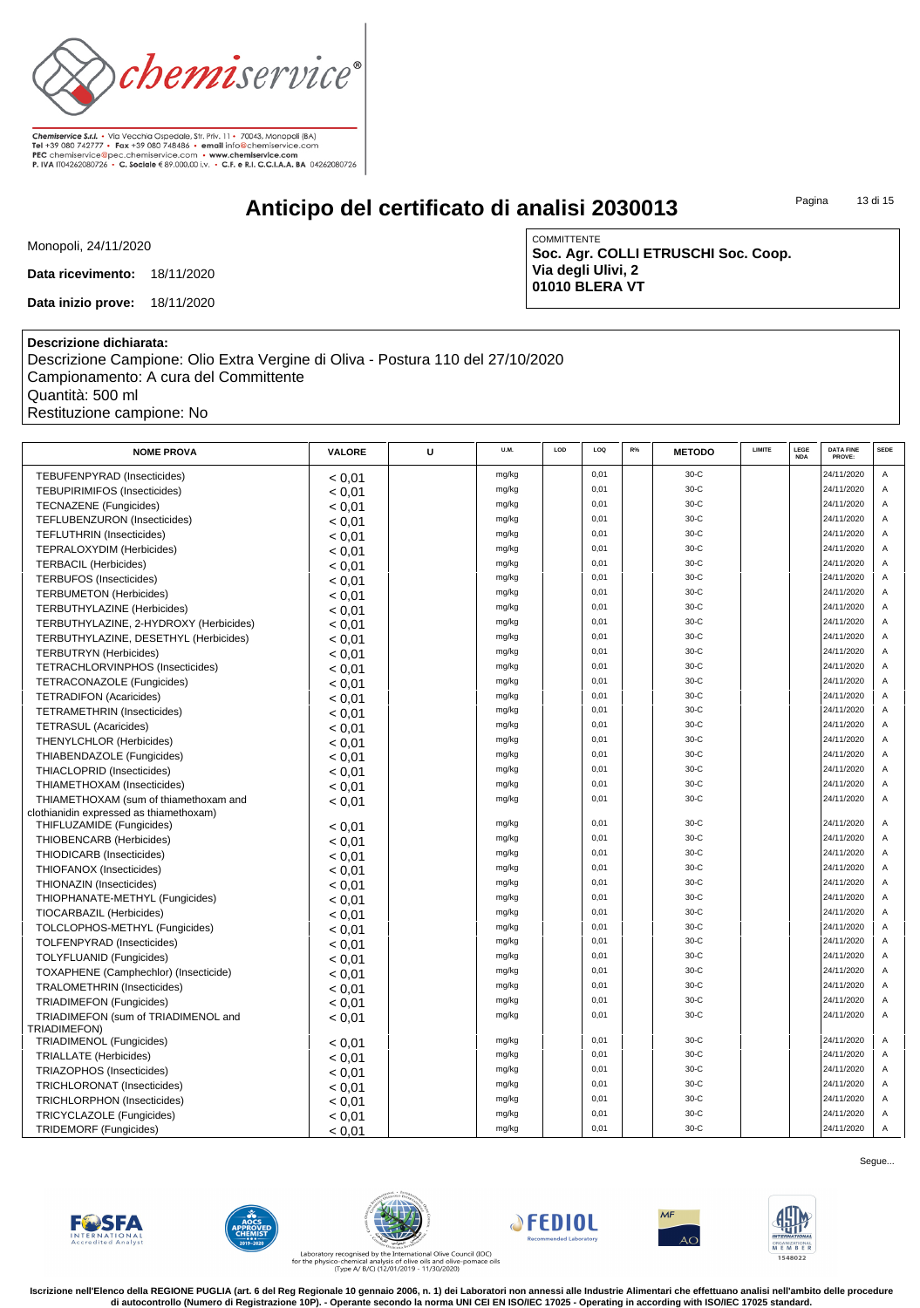

# **Anticipo del certificato di analisi 2030013**

Pagina 13 di 15

Monopoli, 24/11/2020

**Data ricevimento:** 18/11/2020

**Data inizio prove:** 18/11/2020

**COMMITTENTE Soc. Agr. COLLI ETRUSCHI Soc. Coop. Via degli Ulivi, 2 01010 BLERA VT**

### **Descrizione dichiarata:**

Descrizione Campione: Olio Extra Vergine di Oliva - Postura 110 del 27/10/2020 Campionamento: A cura del Committente Quantità: 500 ml Restituzione campione: No

| <b>NOME PROVA</b>                       | VALORE | U | <b>U.M.</b> | LOD | LOO  | R% | <b>METODO</b> | LIMITE | LEGE<br><b>NDA</b> | <b>DATA FINE</b><br>PROVE: | <b>SEDE</b>    |
|-----------------------------------------|--------|---|-------------|-----|------|----|---------------|--------|--------------------|----------------------------|----------------|
| TEBUFENPYRAD (Insecticides)             | < 0.01 |   | mg/kg       |     | 0,01 |    | $30-C$        |        |                    | 24/11/2020                 | Α              |
| <b>TEBUPIRIMIFOS (Insecticides)</b>     | < 0.01 |   | mg/kg       |     | 0,01 |    | $30-C$        |        |                    | 24/11/2020                 | A              |
| <b>TECNAZENE</b> (Fungicides)           | < 0.01 |   | mg/kg       |     | 0,01 |    | 30-C          |        |                    | 24/11/2020                 | A              |
| TEFLUBENZURON (Insecticides)            | < 0,01 |   | mg/kg       |     | 0,01 |    | $30-C$        |        |                    | 24/11/2020                 | $\Delta$       |
| <b>TEFLUTHRIN (Insecticides)</b>        | < 0.01 |   | mg/kg       |     | 0,01 |    | $30-C$        |        |                    | 24/11/2020                 | A              |
| TEPRALOXYDIM (Herbicides)               | < 0.01 |   | mg/kg       |     | 0,01 |    | $30-C$        |        |                    | 24/11/2020                 | A              |
| <b>TERBACIL (Herbicides)</b>            | < 0.01 |   | mg/kg       |     | 0,01 |    | 30-C          |        |                    | 24/11/2020                 | A              |
| <b>TERBUFOS (Insecticides)</b>          | < 0.01 |   | mg/kg       |     | 0,01 |    | $30-C$        |        |                    | 24/11/2020                 | A              |
| <b>TERBUMETON (Herbicides)</b>          | < 0.01 |   | mg/kg       |     | 0.01 |    | $30-C$        |        |                    | 24/11/2020                 | $\overline{A}$ |
| <b>TERBUTHYLAZINE</b> (Herbicides)      | < 0.01 |   | mg/kg       |     | 0.01 |    | $30-C$        |        |                    | 24/11/2020                 | A              |
| TERBUTHYLAZINE, 2-HYDROXY (Herbicides)  | < 0.01 |   | mg/kg       |     | 0,01 |    | $30-C$        |        |                    | 24/11/2020                 | A              |
| TERBUTHYLAZINE, DESETHYL (Herbicides)   | < 0.01 |   | mg/kg       |     | 0,01 |    | $30-C$        |        |                    | 24/11/2020                 | A              |
| <b>TERBUTRYN</b> (Herbicides)           | < 0.01 |   | mg/kg       |     | 0,01 |    | $30-C$        |        |                    | 24/11/2020                 | A              |
| TETRACHLORVINPHOS (Insecticides)        | < 0.01 |   | mg/kg       |     | 0,01 |    | 30-C          |        |                    | 24/11/2020                 | $\overline{A}$ |
| TETRACONAZOLE (Fungicides)              | < 0.01 |   | mg/kg       |     | 0,01 |    | $30-C$        |        |                    | 24/11/2020                 | A              |
| <b>TETRADIFON (Acaricides)</b>          | < 0.01 |   | mg/kg       |     | 0.01 |    | $30-C$        |        |                    | 24/11/2020                 | $\overline{A}$ |
| <b>TETRAMETHRIN (Insecticides)</b>      | < 0.01 |   | mg/kg       |     | 0,01 |    | $30-C$        |        |                    | 24/11/2020                 | Α              |
| <b>TETRASUL (Acaricides)</b>            | < 0.01 |   | mg/kg       |     | 0,01 |    | 30-C          |        |                    | 24/11/2020                 | A              |
| <b>THENYLCHLOR (Herbicides)</b>         | < 0.01 |   | mg/kg       |     | 0,01 |    | $30-C$        |        |                    | 24/11/2020                 | A              |
| THIABENDAZOLE (Fungicides)              | < 0.01 |   | mg/kg       |     | 0,01 |    | $30-C$        |        |                    | 24/11/2020                 | A              |
| THIACLOPRID (Insecticides)              | < 0.01 |   | mg/kg       |     | 0,01 |    | 30-C          |        |                    | 24/11/2020                 | $\overline{A}$ |
| THIAMETHOXAM (Insecticides)             | < 0.01 |   | mg/kg       |     | 0,01 |    | $30-C$        |        |                    | 24/11/2020                 | $\overline{A}$ |
| THIAMETHOXAM (sum of thiamethoxam and   | < 0,01 |   | mg/kg       |     | 0,01 |    | $30-C$        |        |                    | 24/11/2020                 | A              |
| clothianidin expressed as thiamethoxam) |        |   |             |     |      |    |               |        |                    |                            |                |
| THIFLUZAMIDE (Fungicides)               | < 0.01 |   | mg/kg       |     | 0,01 |    | 30-C          |        |                    | 24/11/2020                 | A              |
| THIOBENCARB (Herbicides)                | < 0.01 |   | mg/kg       |     | 0,01 |    | $30-C$        |        |                    | 24/11/2020                 | A              |
| THIODICARB (Insecticides)               | < 0.01 |   | mg/kg       |     | 0.01 |    | $30-C$        |        |                    | 24/11/2020                 | $\overline{A}$ |
| THIOFANOX (Insecticides)                | < 0.01 |   | mg/kg       |     | 0,01 |    | 30-C          |        |                    | 24/11/2020                 | A              |
| THIONAZIN (Insecticides)                | < 0.01 |   | mg/kg       |     | 0,01 |    | $30-C$        |        |                    | 24/11/2020                 | A              |
| THIOPHANATE-METHYL (Fungicides)         | < 0.01 |   | mg/kg       |     | 0,01 |    | $30-C$        |        |                    | 24/11/2020                 | A              |
| TIOCARBAZIL (Herbicides)                | < 0.01 |   | mg/kg       |     | 0,01 |    | $30-C$        |        |                    | 24/11/2020                 | $\overline{A}$ |
| TOLCLOPHOS-METHYL (Fungicides)          | < 0.01 |   | mg/kg       |     | 0,01 |    | 30-C          |        |                    | 24/11/2020                 | A              |
| <b>TOLFENPYRAD (Insecticides)</b>       | < 0.01 |   | mg/kg       |     | 0.01 |    | $30-C$        |        |                    | 24/11/2020                 | A              |
| TOLYFLUANID (Fungicides)                | < 0.01 |   | mg/kg       |     | 0.01 |    | $30-C$        |        |                    | 24/11/2020                 | $\overline{A}$ |
| TOXAPHENE (Camphechlor) (Insecticide)   | < 0.01 |   | mg/kg       |     | 0,01 |    | 30-C          |        |                    | 24/11/2020                 | A              |
| <b>TRALOMETHRIN (Insecticides)</b>      | < 0.01 |   | mg/kg       |     | 0,01 |    | 30-C          |        |                    | 24/11/2020                 | A              |
| <b>TRIADIMEFON (Fungicides)</b>         | < 0.01 |   | mg/kg       |     | 0,01 |    | $30-C$        |        |                    | 24/11/2020                 | A              |
| TRIADIMEFON (sum of TRIADIMENOL and     | < 0.01 |   | mg/kg       |     | 0.01 |    | $30-C$        |        |                    | 24/11/2020                 | $\overline{A}$ |
| TRIADIMEFON)                            |        |   |             |     |      |    |               |        |                    |                            |                |
| <b>TRIADIMENOL (Fungicides)</b>         | < 0.01 |   | mg/kg       |     | 0.01 |    | $30-C$        |        |                    | 24/11/2020                 | A              |
| <b>TRIALLATE</b> (Herbicides)           | < 0,01 |   | mg/kg       |     | 0,01 |    | $30-C$        |        |                    | 24/11/2020                 | A              |
| TRIAZOPHOS (Insecticides)               | < 0.01 |   | mg/kg       |     | 0,01 |    | 30-C          |        |                    | 24/11/2020                 | $\overline{A}$ |
| TRICHLORONAT (Insecticides)             | < 0.01 |   | mg/kg       |     | 0,01 |    | $30-C$        |        |                    | 24/11/2020                 | A              |
| <b>TRICHLORPHON (Insecticides)</b>      | < 0.01 |   | mg/kg       |     | 0.01 |    | $30-C$        |        |                    | 24/11/2020                 | A              |
| TRICYCLAZOLE (Fungicides)               | < 0.01 |   | mg/kg       |     | 0,01 |    | $30-C$        |        |                    | 24/11/2020                 | A              |
| <b>TRIDEMORF (Fungicides)</b>           | < 0.01 |   | mg/kg       |     | 0,01 |    | $30-C$        |        |                    | 24/11/2020                 | $\overline{A}$ |













Laboratory recognised by the International Olive Council (IOC)<br>for the physico-chemical analysis of olive oils and olive-pomace oils<br>(Type A/ B/C) (12/01/2019 - 11/30/2020)

**Iscrizione nell'Elenco della REGIONE PUGLIA (art. 6 del Reg Regionale 10 gennaio 2006, n. 1) dei Laboratori non annessi alle Industrie Alimentari che effettuano analisi nell'ambito delle procedure di autocontrollo (Numero di Registrazione 10P). - Operante secondo la norma UNI CEI EN ISO/IEC 17025 - Operating in according with ISO/IEC 17025 standard.**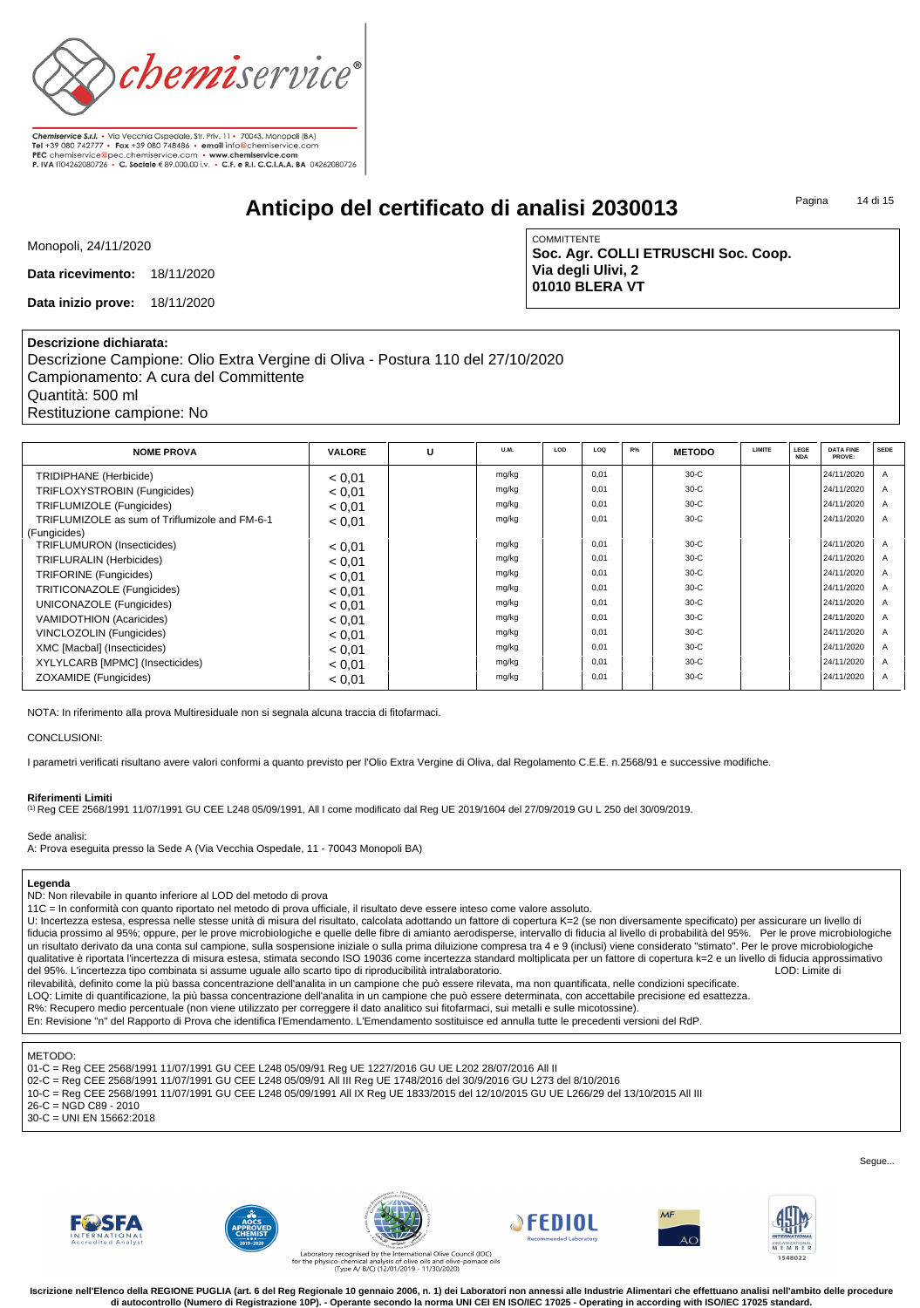

**Chemiservice S.r.l.** • Via Vecchia Ospedale, Str. Priv. 11 • 70043, Monopoli (BA)<br>Tel +39 080 742777 • Fax +39 080 748486 • email info@chemiservice.com PEC chemiservice@pec.chemiservice.com • www.chemiservice.com<br>P. IVA IT04262080726 • C. Sociale € 89.000,00 i.v. • C.F. e R.I. C.C.I.A.A. BA 04262080726

# **Anticipo del certificato di analisi 2030013**

Pagina 14 di 15

Monopoli, 24/11/2020

**Data ricevimento:** 18/11/2020

**Data inizio prove:** 18/11/2020

**COMMITTENTE Soc. Agr. COLLI ETRUSCHI Soc. Coop. Via degli Ulivi, 2 01010 BLERA VT**

### **Descrizione dichiarata:**

Descrizione Campione: Olio Extra Vergine di Oliva - Postura 110 del 27/10/2020 Campionamento: A cura del Committente Quantità: 500 ml Restituzione campione: No

| <b>NOME PROVA</b>                              | <b>VALORE</b> | U | U.M.  | LOD | LOO  | $R\%$ | <b>METODO</b> | <b>LIMITE</b> | LEGE<br><b>NDA</b> | <b>DATA FINE</b><br>PROVE: | <b>SEDE</b>    |
|------------------------------------------------|---------------|---|-------|-----|------|-------|---------------|---------------|--------------------|----------------------------|----------------|
| TRIDIPHANE (Herbicide)                         | < 0.01        |   | mg/kg |     | 0.01 |       | $30-C$        |               |                    | 24/11/2020                 | $\overline{A}$ |
| TRIFLOXYSTROBIN (Fungicides)                   | < 0.01        |   | mg/kg |     | 0.01 |       | $30-C$        |               |                    | 24/11/2020                 | $\overline{A}$ |
| TRIFLUMIZOLE (Fungicides)                      | < 0.01        |   | mg/kg |     | 0.01 |       | $30-C$        |               |                    | 24/11/2020                 | $\overline{A}$ |
| TRIFLUMIZOLE as sum of Triflumizole and FM-6-1 | < 0.01        |   | mg/kg |     | 0.01 |       | $30-C$        |               |                    | 24/11/2020                 | $\overline{A}$ |
| (Fungicides)                                   |               |   |       |     |      |       |               |               |                    |                            |                |
| <b>TRIFLUMURON</b> (Insecticides)              | < 0.01        |   | mg/kg |     | 0.01 |       | $30-C$        |               |                    | 24/11/2020                 | $\overline{A}$ |
| <b>TRIFLURALIN (Herbicides)</b>                | < 0.01        |   | mg/kg |     | 0.01 |       | $30-C$        |               |                    | 24/11/2020                 | $\overline{A}$ |
| <b>TRIFORINE</b> (Fungicides)                  | < 0.01        |   | mg/kg |     | 0.01 |       | $30-C$        |               |                    | 24/11/2020                 | $\overline{A}$ |
| TRITICONAZOLE (Fungicides)                     | < 0.01        |   | mg/kg |     | 0.01 |       | $30-C$        |               |                    | 24/11/2020                 | $\overline{A}$ |
| UNICONAZOLE (Fungicides)                       | < 0.01        |   | mg/kg |     | 0.01 |       | $30-C$        |               |                    | 24/11/2020                 | $\overline{A}$ |
| VAMIDOTHION (Acaricides)                       | < 0.01        |   | mg/kg |     | 0.01 |       | $30-C$        |               |                    | 24/11/2020                 | $\overline{A}$ |
| <b>VINCLOZOLIN (Fungicides)</b>                | < 0.01        |   | mg/kg |     | 0.01 |       | $30-C$        |               |                    | 24/11/2020                 | $\overline{A}$ |
| XMC [Macbal] (Insecticides)                    | < 0.01        |   | mg/kg |     | 0.01 |       | $30-C$        |               |                    | 24/11/2020                 | $\overline{A}$ |
| XYLYLCARB [MPMC] (Insecticides)                | < 0.01        |   | mg/kg |     | 0.01 |       | $30-C$        |               |                    | 24/11/2020                 | $\overline{A}$ |
| ZOXAMIDE (Fungicides)                          | < 0.01        |   | mg/kg |     | 0.01 |       | $30-C$        |               |                    | 24/11/2020                 | $\overline{A}$ |

NOTA: In riferimento alla prova Multiresiduale non si segnala alcuna traccia di fitofarmaci.

#### CONCLUSIONI:

I parametri verificati risultano avere valori conformi a quanto previsto per l'Olio Extra Vergine di Oliva, dal Regolamento C.E.E. n.2568/91 e successive modifiche.

#### **Riferimenti Limiti**

(1) Reg CEE 2568/1991 11/07/1991 GU CEE L248 05/09/1991, All I come modificato dal Reg UE 2019/1604 del 27/09/2019 GU L 250 del 30/09/2019.

#### Sede analisi:

A: Prova eseguita presso la Sede A (Via Vecchia Ospedale, 11 - 70043 Monopoli BA)

#### **Legenda**

ND: Non rilevabile in quanto inferiore al LOD del metodo di prova

11C = In conformità con quanto riportato nel metodo di prova ufficiale, il risultato deve essere inteso come valore assoluto.

U: Incertezza estesa, espressa nelle stesse unità di misura del risultato, calcolata adottando un fattore di copertura K=2 (se non diversamente specificato) per assicurare un livello di fiducia prossimo al 95%; oppure, per le prove microbiologiche e quelle delle fibre di amianto aerodisperse, intervallo di fiducia al livello di probabilità del 95%. Per le prove microbiologiche un risultato derivato da una conta sul campione, sulla sospensione iniziale o sulla prima diluizione compresa tra 4 e 9 (inclusi) viene considerato "stimato". Per le prove microbiologiche qualitative è riportata l'incertezza di misura estesa, stimata secondo ISO 19036 come incertezza standard moltiplicata per un fattore di copertura k=2 e un livello di fiducia approssimativo<br>del 95%. L'incertezza tipo combi del 95%. L'incertezza tipo combinata si assume uguale allo scarto tipo di riproducibilità intralaboratorio.

rilevabilità, definito come la più bassa concentrazione dell'analita in un campione che può essere rilevata, ma non quantificata, nelle condizioni specificate.

LOQ: Limite di quantificazione, la più bassa concentrazione dell'analita in un campione che può essere determinata, con accettabile precisione ed esattezza. R%: Recupero medio percentuale (non viene utilizzato per correggere il dato analitico sui fitofarmaci, sui metalli e sulle micotossine).

En: Revisione "n" del Rapporto di Prova che identifica l'Emendamento. L'Emendamento sostituisce ed annulla tutte le precedenti versioni del RdP.

#### METODO:

- 01-C = Reg CEE 2568/1991 11/07/1991 GU CEE L248 05/09/91 Reg UE 1227/2016 GU UE L202 28/07/2016 All II
- 02-C = Reg CEE 2568/1991 11/07/1991 GU CEE L248 05/09/91 All III Reg UE 1748/2016 del 30/9/2016 GU L273 del 8/10/2016
- 10-C = Reg CEE 2568/1991 11/07/1991 GU CEE L248 05/09/1991 All IX Reg UE 1833/2015 del 12/10/2015 GU UE L266/29 del 13/10/2015 All III

26-C = NGD C89 - 2010

30-C = UNI EN 15662:2018













Laboratory re<br>for the physicoco-chemical analysis of olive oils and olive-pomace oils<br>Type A/ B/C) (12/01/2019 - 11/30/2020)

Iscrizione nell'Elenco della REGIONE PUGLIA (art. 6 del Reg Regionale 10 gennaio 2006, n. 1) dei Laboratori non annessi alle Industrie Alimentari che effettuano analisi nell'ambito delle procedure **di autocontrollo (Numero di Registrazione 10P). - Operante secondo la norma UNI CEI EN ISO/IEC 17025 - Operating in according with ISO/IEC 17025 standard.**

Seque...